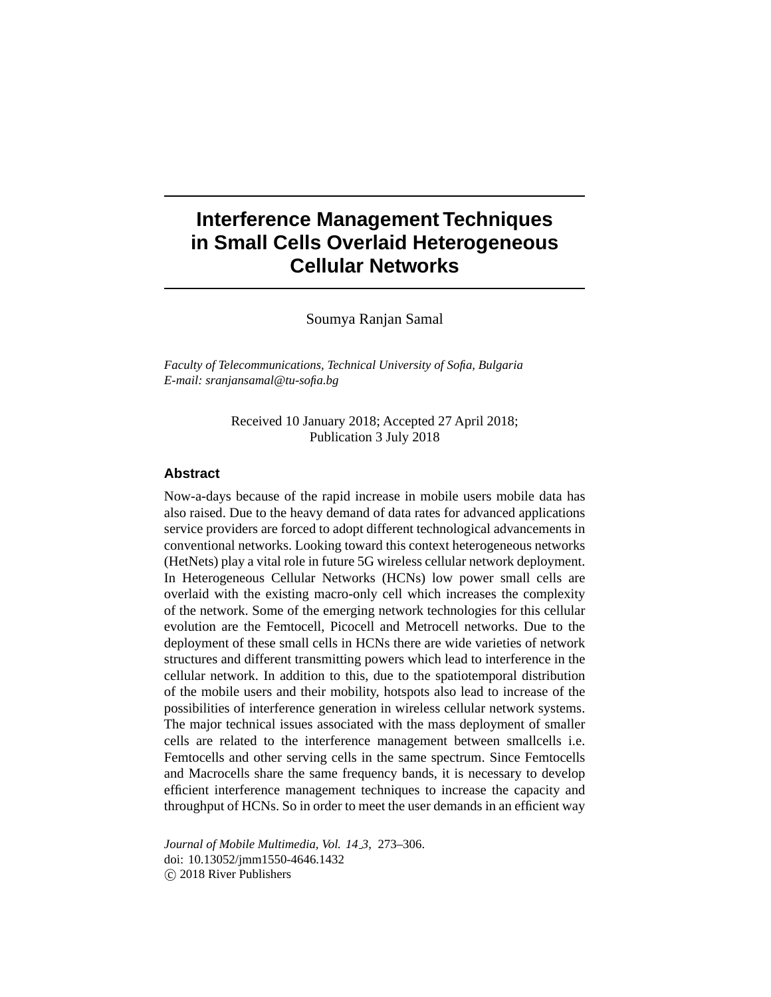# **Interference Management Techniques in Small Cells Overlaid Heterogeneous Cellular Networks**

Soumya Ranjan Samal

*Faculty of Telecommunications, Technical University of Sofia, Bulgaria E-mail: sranjansamal@tu-sofia.bg*

> Received 10 January 2018; Accepted 27 April 2018; Publication 3 July 2018

# **Abstract**

Now-a-days because of the rapid increase in mobile users mobile data has also raised. Due to the heavy demand of data rates for advanced applications service providers are forced to adopt different technological advancements in conventional networks. Looking toward this context heterogeneous networks (HetNets) play a vital role in future 5G wireless cellular network deployment. In Heterogeneous Cellular Networks (HCNs) low power small cells are overlaid with the existing macro-only cell which increases the complexity of the network. Some of the emerging network technologies for this cellular evolution are the Femtocell, Picocell and Metrocell networks. Due to the deployment of these small cells in HCNs there are wide varieties of network structures and different transmitting powers which lead to interference in the cellular network. In addition to this, due to the spatiotemporal distribution of the mobile users and their mobility, hotspots also lead to increase of the possibilities of interference generation in wireless cellular network systems. The major technical issues associated with the mass deployment of smaller cells are related to the interference management between smallcells i.e. Femtocells and other serving cells in the same spectrum. Since Femtocells and Macrocells share the same frequency bands, it is necessary to develop efficient interference management techniques to increase the capacity and throughput of HCNs. So in order to meet the user demands in an efficient way

*Journal of Mobile Multimedia, Vol. 14 3,* 273–306. doi: 10.13052/jmm1550-4646.1432 © 2018 River Publishers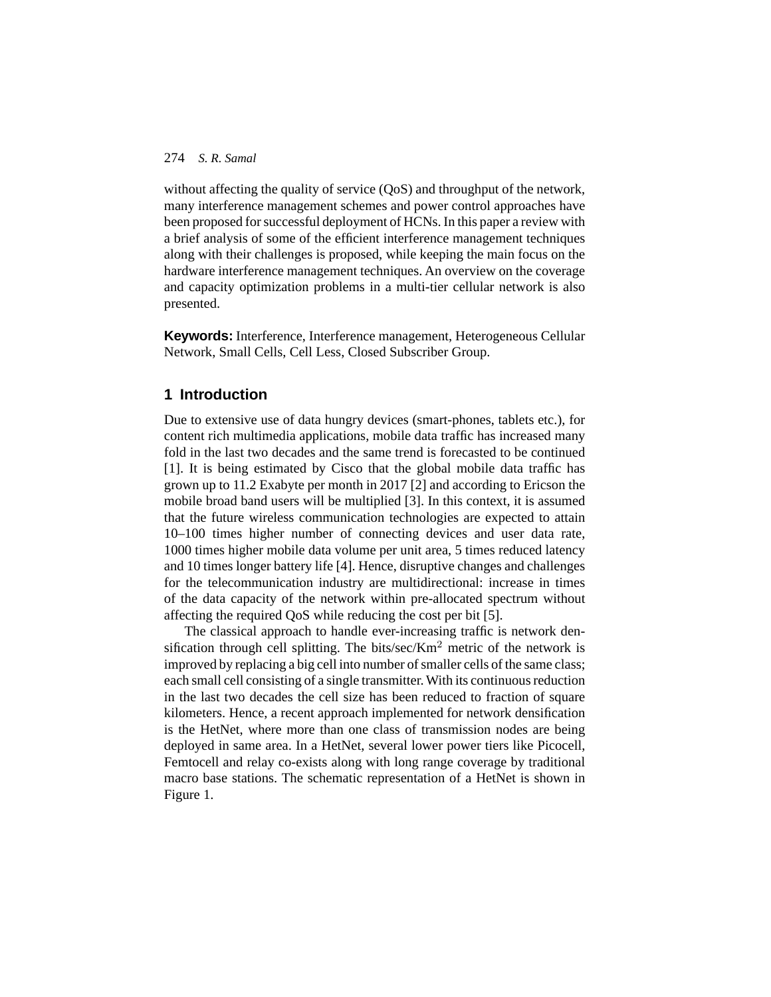without affecting the quality of service (OoS) and throughput of the network, many interference management schemes and power control approaches have been proposed for successful deployment of HCNs. In this paper a review with a brief analysis of some of the efficient interference management techniques along with their challenges is proposed, while keeping the main focus on the hardware interference management techniques. An overview on the coverage and capacity optimization problems in a multi-tier cellular network is also presented.

**Keywords:** Interference, Interference management, Heterogeneous Cellular Network, Small Cells, Cell Less, Closed Subscriber Group.

# **1 Introduction**

Due to extensive use of data hungry devices (smart-phones, tablets etc.), for content rich multimedia applications, mobile data traffic has increased many fold in the last two decades and the same trend is forecasted to be continued [1]. It is being estimated by Cisco that the global mobile data traffic has grown up to 11.2 Exabyte per month in 2017 [2] and according to Ericson the mobile broad band users will be multiplied [3]. In this context, it is assumed that the future wireless communication technologies are expected to attain 10–100 times higher number of connecting devices and user data rate, 1000 times higher mobile data volume per unit area, 5 times reduced latency and 10 times longer battery life [4]. Hence, disruptive changes and challenges for the telecommunication industry are multidirectional: increase in times of the data capacity of the network within pre-allocated spectrum without affecting the required QoS while reducing the cost per bit [5].

The classical approach to handle ever-increasing traffic is network densification through cell splitting. The bits/sec/ $Km<sup>2</sup>$  metric of the network is improved by replacing a big cell into number of smaller cells of the same class; each small cell consisting of a single transmitter.With its continuous reduction in the last two decades the cell size has been reduced to fraction of square kilometers. Hence, a recent approach implemented for network densification is the HetNet, where more than one class of transmission nodes are being deployed in same area. In a HetNet, several lower power tiers like Picocell, Femtocell and relay co-exists along with long range coverage by traditional macro base stations. The schematic representation of a HetNet is shown in Figure 1.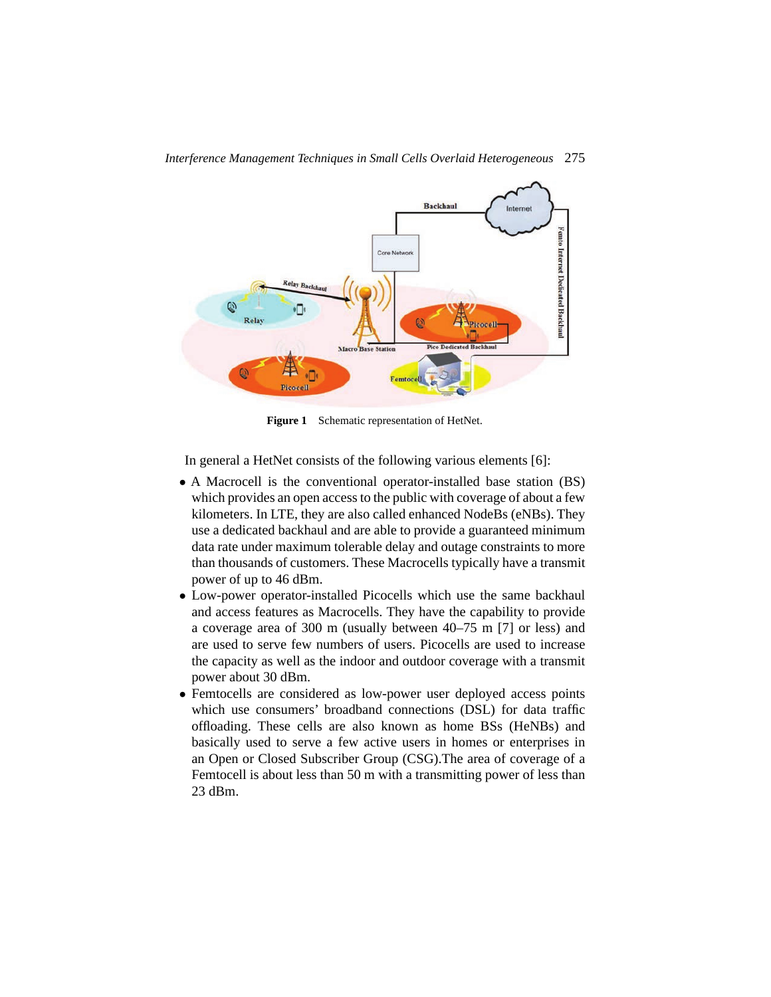

Figure 1 Schematic representation of HetNet.

In general a HetNet consists of the following various elements [6]:

- A Macrocell is the conventional operator-installed base station (BS) which provides an open access to the public with coverage of about a few kilometers. In LTE, they are also called enhanced NodeBs (eNBs). They use a dedicated backhaul and are able to provide a guaranteed minimum data rate under maximum tolerable delay and outage constraints to more than thousands of customers. These Macrocells typically have a transmit power of up to 46 dBm.
- Low-power operator-installed Picocells which use the same backhaul and access features as Macrocells. They have the capability to provide a coverage area of 300 m (usually between 40–75 m [7] or less) and are used to serve few numbers of users. Picocells are used to increase the capacity as well as the indoor and outdoor coverage with a transmit power about 30 dBm.
- Femtocells are considered as low-power user deployed access points which use consumers' broadband connections (DSL) for data traffic offloading. These cells are also known as home BSs (HeNBs) and basically used to serve a few active users in homes or enterprises in an Open or Closed Subscriber Group (CSG).The area of coverage of a Femtocell is about less than 50 m with a transmitting power of less than 23 dBm.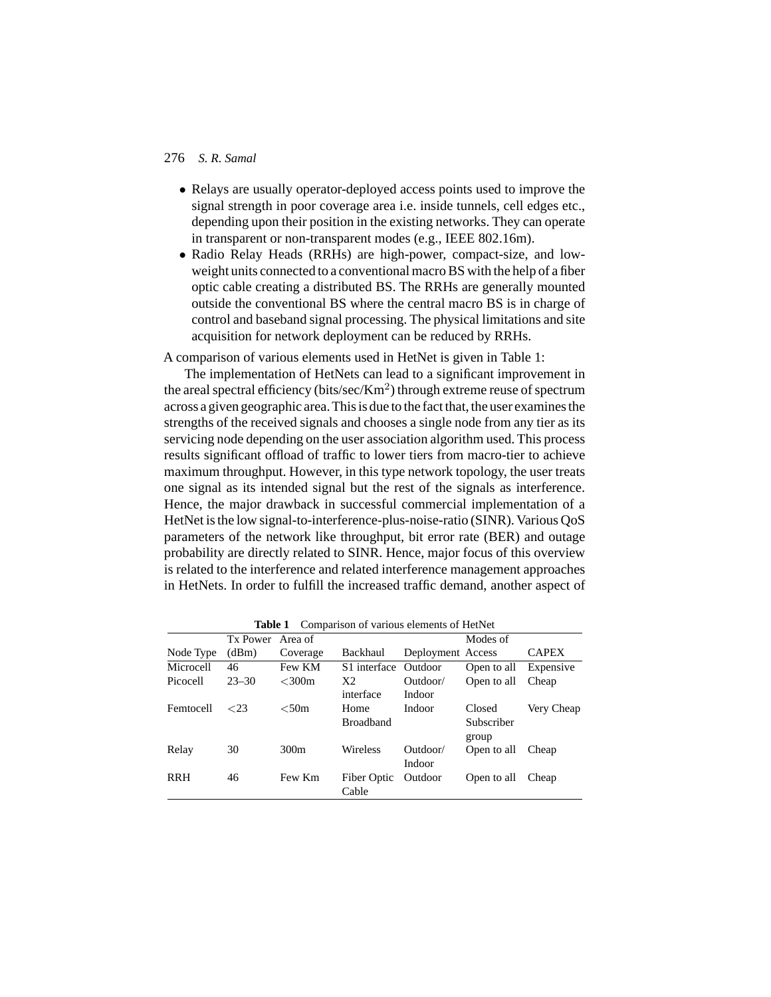- Relays are usually operator-deployed access points used to improve the signal strength in poor coverage area i.e. inside tunnels, cell edges etc., depending upon their position in the existing networks. They can operate in transparent or non-transparent modes (e.g., IEEE 802.16m).
- Radio Relay Heads (RRHs) are high-power, compact-size, and lowweight units connected to a conventional macro BS with the help of a fiber optic cable creating a distributed BS. The RRHs are generally mounted outside the conventional BS where the central macro BS is in charge of control and baseband signal processing. The physical limitations and site acquisition for network deployment can be reduced by RRHs.

A comparison of various elements used in HetNet is given in Table 1:

The implementation of HetNets can lead to a significant improvement in the areal spectral efficiency (bits/sec/Km<sup>2</sup>) through extreme reuse of spectrum across a given geographic area. This is due to the fact that, the user examines the strengths of the received signals and chooses a single node from any tier as its servicing node depending on the user association algorithm used. This process results significant offload of traffic to lower tiers from macro-tier to achieve maximum throughput. However, in this type network topology, the user treats one signal as its intended signal but the rest of the signals as interference. Hence, the major drawback in successful commercial implementation of a HetNet is the low signal-to-interference-plus-noise-ratio (SINR). Various QoS parameters of the network like throughput, bit error rate (BER) and outage probability are directly related to SINR. Hence, major focus of this overview is related to the interference and related interference management approaches in HetNets. In order to fulfill the increased traffic demand, another aspect of

|            | Tx Power  | Area of     |                  |                   | Modes of    |              |
|------------|-----------|-------------|------------------|-------------------|-------------|--------------|
| Node Type  | (dBm)     | Coverage    | Backhaul         | Deployment Access |             | <b>CAPEX</b> |
| Microcell  | 46        | Few KM      | S1 interface     | Outdoor           | Open to all | Expensive    |
| Picocell   | $23 - 30$ | $<$ 300 $m$ | X <sub>2</sub>   | Outdoor/          | Open to all | Cheap        |
|            |           |             | interface        | Indoor            |             |              |
| Femtocell  | $\leq$ 23 | $<$ 50m     | Home             | Indoor            | Closed      | Very Cheap   |
|            |           |             | <b>Broadband</b> |                   | Subscriber  |              |
|            |           |             |                  |                   | group       |              |
| Relay      | 30        | 300m        | Wireless         | Outdoor/          | Open to all | Cheap        |
|            |           |             |                  | Indoor            |             |              |
| <b>RRH</b> | 46        | Few Km      | Fiber Optic      | Outdoor           | Open to all | Cheap        |
|            |           |             | Cable            |                   |             |              |

**Table 1** Comparison of various elements of HetNet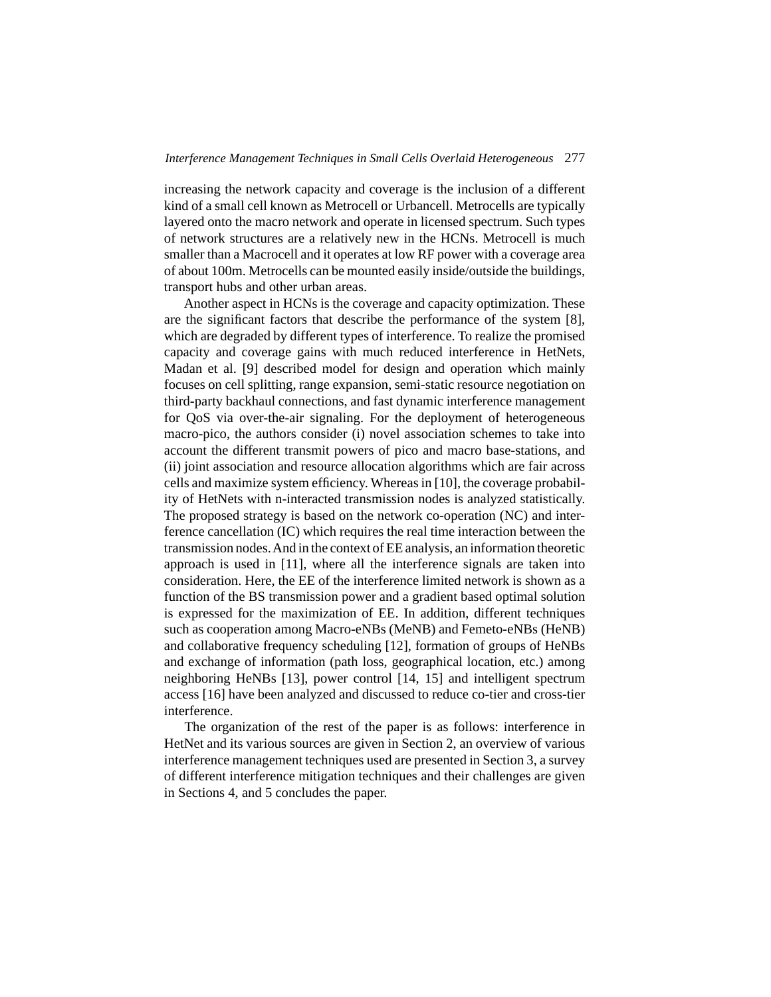increasing the network capacity and coverage is the inclusion of a different kind of a small cell known as Metrocell or Urbancell. Metrocells are typically layered onto the macro network and operate in licensed spectrum. Such types of network structures are a relatively new in the HCNs. Metrocell is much smaller than a Macrocell and it operates at low RF power with a coverage area of about 100m. Metrocells can be mounted easily inside/outside the buildings, transport hubs and other urban areas.

Another aspect in HCNs is the coverage and capacity optimization. These are the significant factors that describe the performance of the system [8], which are degraded by different types of interference. To realize the promised capacity and coverage gains with much reduced interference in HetNets, Madan et al. [9] described model for design and operation which mainly focuses on cell splitting, range expansion, semi-static resource negotiation on third-party backhaul connections, and fast dynamic interference management for QoS via over-the-air signaling. For the deployment of heterogeneous macro-pico, the authors consider (i) novel association schemes to take into account the different transmit powers of pico and macro base-stations, and (ii) joint association and resource allocation algorithms which are fair across cells and maximize system efficiency. Whereas in [10], the coverage probability of HetNets with n-interacted transmission nodes is analyzed statistically. The proposed strategy is based on the network co-operation (NC) and interference cancellation (IC) which requires the real time interaction between the transmission nodes.And in the context of EE analysis, an information theoretic approach is used in [11], where all the interference signals are taken into consideration. Here, the EE of the interference limited network is shown as a function of the BS transmission power and a gradient based optimal solution is expressed for the maximization of EE. In addition, different techniques such as cooperation among Macro-eNBs (MeNB) and Femeto-eNBs (HeNB) and collaborative frequency scheduling [12], formation of groups of HeNBs and exchange of information (path loss, geographical location, etc.) among neighboring HeNBs [13], power control [14, 15] and intelligent spectrum access [16] have been analyzed and discussed to reduce co-tier and cross-tier interference.

The organization of the rest of the paper is as follows: interference in HetNet and its various sources are given in Section 2, an overview of various interference management techniques used are presented in Section 3, a survey of different interference mitigation techniques and their challenges are given in Sections 4, and 5 concludes the paper.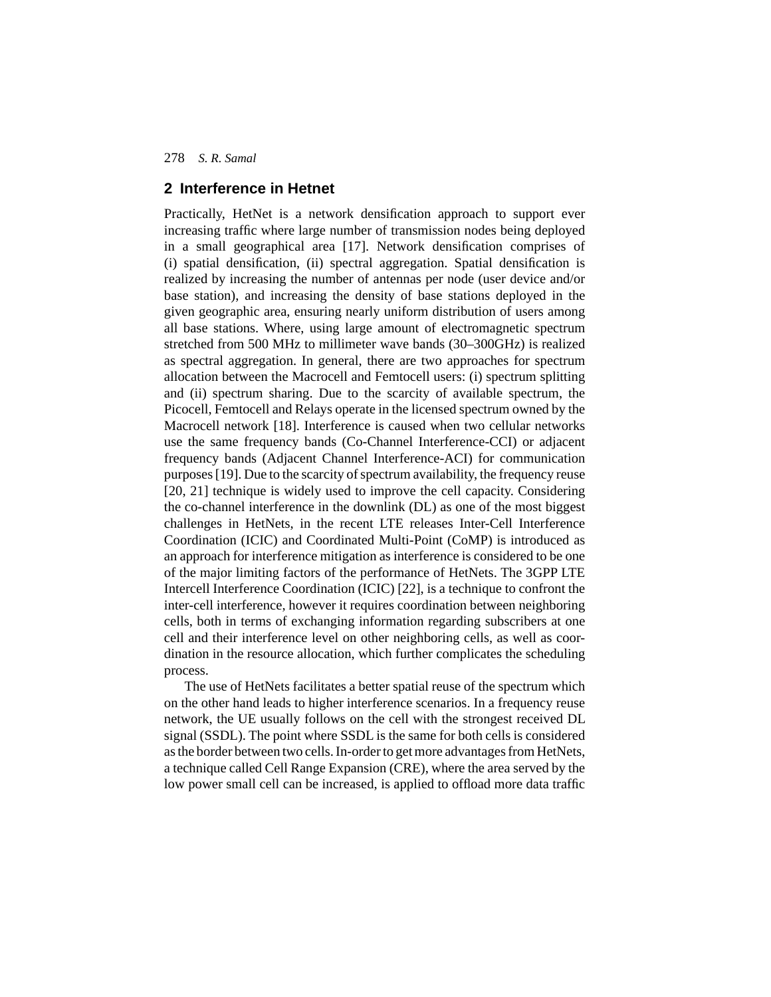## **2 Interference in Hetnet**

Practically, HetNet is a network densification approach to support ever increasing traffic where large number of transmission nodes being deployed in a small geographical area [17]. Network densification comprises of (i) spatial densification, (ii) spectral aggregation. Spatial densification is realized by increasing the number of antennas per node (user device and/or base station), and increasing the density of base stations deployed in the given geographic area, ensuring nearly uniform distribution of users among all base stations. Where, using large amount of electromagnetic spectrum stretched from 500 MHz to millimeter wave bands (30–300GHz) is realized as spectral aggregation. In general, there are two approaches for spectrum allocation between the Macrocell and Femtocell users: (i) spectrum splitting and (ii) spectrum sharing. Due to the scarcity of available spectrum, the Picocell, Femtocell and Relays operate in the licensed spectrum owned by the Macrocell network [18]. Interference is caused when two cellular networks use the same frequency bands (Co-Channel Interference-CCI) or adjacent frequency bands (Adjacent Channel Interference-ACI) for communication purposes [19]. Due to the scarcity of spectrum availability, the frequency reuse [20, 21] technique is widely used to improve the cell capacity. Considering the co-channel interference in the downlink (DL) as one of the most biggest challenges in HetNets, in the recent LTE releases Inter-Cell Interference Coordination (ICIC) and Coordinated Multi-Point (CoMP) is introduced as an approach for interference mitigation as interference is considered to be one of the major limiting factors of the performance of HetNets. The 3GPP LTE Intercell Interference Coordination (ICIC) [22], is a technique to confront the inter-cell interference, however it requires coordination between neighboring cells, both in terms of exchanging information regarding subscribers at one cell and their interference level on other neighboring cells, as well as coordination in the resource allocation, which further complicates the scheduling process.

The use of HetNets facilitates a better spatial reuse of the spectrum which on the other hand leads to higher interference scenarios. In a frequency reuse network, the UE usually follows on the cell with the strongest received DL signal (SSDL). The point where SSDL is the same for both cells is considered as the border between two cells. In-order to get more advantages from HetNets, a technique called Cell Range Expansion (CRE), where the area served by the low power small cell can be increased, is applied to offload more data traffic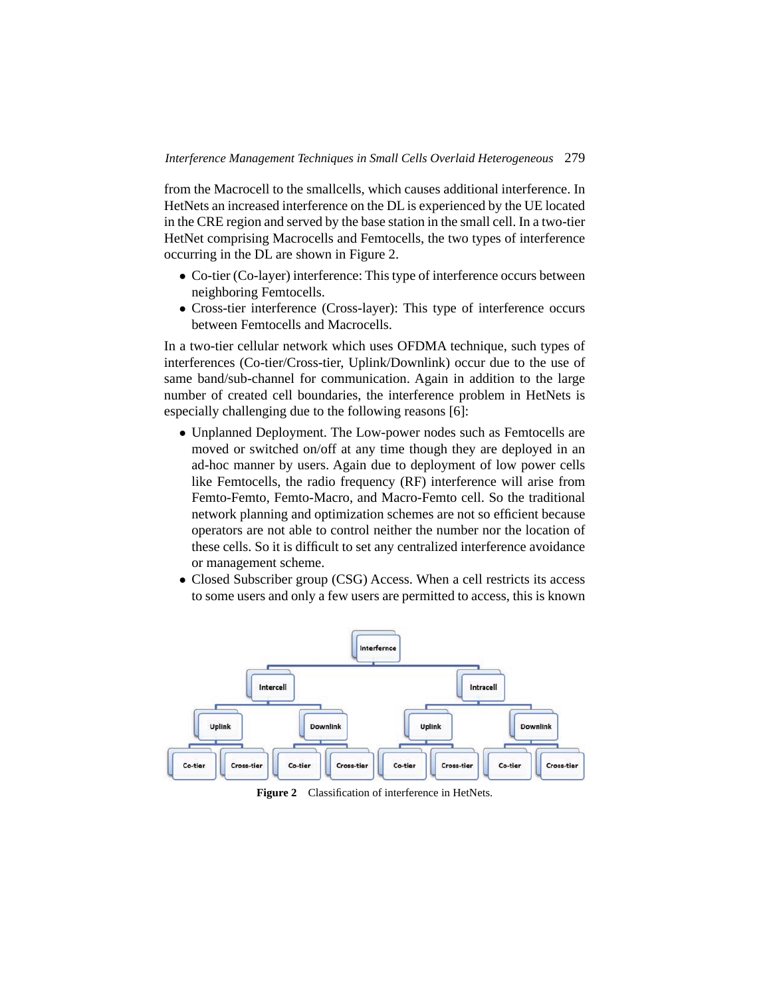from the Macrocell to the smallcells, which causes additional interference. In HetNets an increased interference on the DL is experienced by the UE located in the CRE region and served by the base station in the small cell. In a two-tier HetNet comprising Macrocells and Femtocells, the two types of interference occurring in the DL are shown in Figure 2.

- Co-tier (Co-layer) interference: This type of interference occurs between neighboring Femtocells.
- Cross-tier interference (Cross-layer): This type of interference occurs between Femtocells and Macrocells.

In a two-tier cellular network which uses OFDMA technique, such types of interferences (Co-tier/Cross-tier, Uplink/Downlink) occur due to the use of same band/sub-channel for communication. Again in addition to the large number of created cell boundaries, the interference problem in HetNets is especially challenging due to the following reasons [6]:

- Unplanned Deployment. The Low-power nodes such as Femtocells are moved or switched on/off at any time though they are deployed in an ad-hoc manner by users. Again due to deployment of low power cells like Femtocells, the radio frequency (RF) interference will arise from Femto-Femto, Femto-Macro, and Macro-Femto cell. So the traditional network planning and optimization schemes are not so efficient because operators are not able to control neither the number nor the location of these cells. So it is difficult to set any centralized interference avoidance or management scheme.
- Closed Subscriber group (CSG) Access. When a cell restricts its access to some users and only a few users are permitted to access, this is known



Figure 2 Classification of interference in HetNets.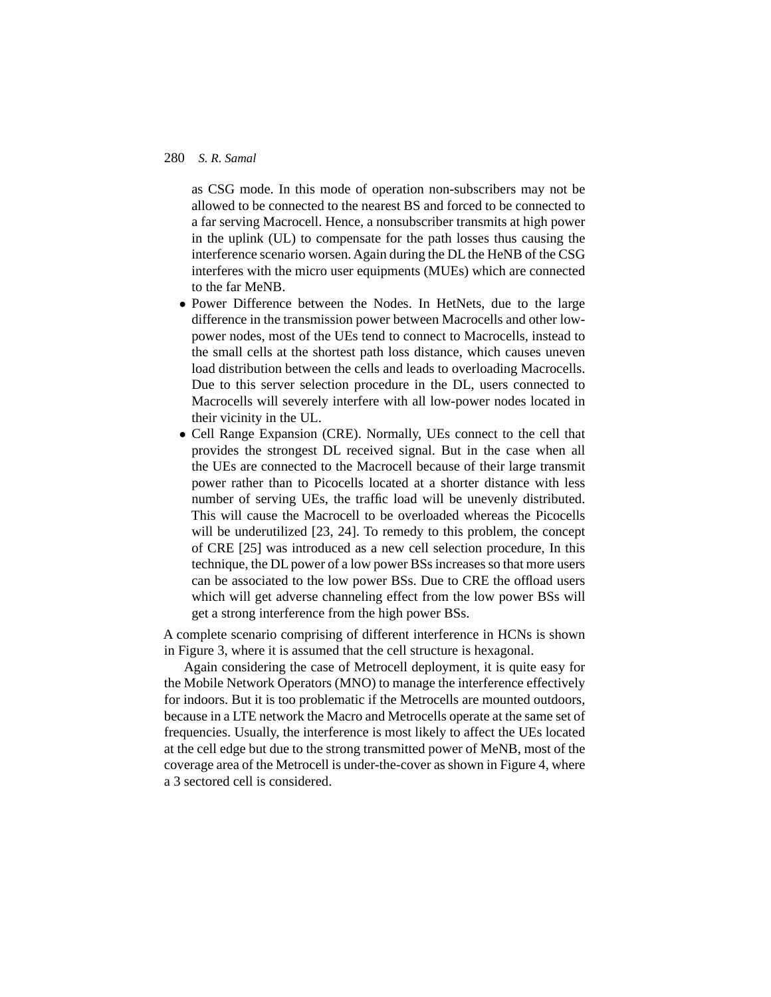as CSG mode. In this mode of operation non-subscribers may not be allowed to be connected to the nearest BS and forced to be connected to a far serving Macrocell. Hence, a nonsubscriber transmits at high power in the uplink (UL) to compensate for the path losses thus causing the interference scenario worsen. Again during the DL the HeNB of the CSG interferes with the micro user equipments (MUEs) which are connected to the far MeNB.

- Power Difference between the Nodes. In HetNets, due to the large difference in the transmission power between Macrocells and other lowpower nodes, most of the UEs tend to connect to Macrocells, instead to the small cells at the shortest path loss distance, which causes uneven load distribution between the cells and leads to overloading Macrocells. Due to this server selection procedure in the DL, users connected to Macrocells will severely interfere with all low-power nodes located in their vicinity in the UL.
- Cell Range Expansion (CRE). Normally, UEs connect to the cell that provides the strongest DL received signal. But in the case when all the UEs are connected to the Macrocell because of their large transmit power rather than to Picocells located at a shorter distance with less number of serving UEs, the traffic load will be unevenly distributed. This will cause the Macrocell to be overloaded whereas the Picocells will be underutilized [23, 24]. To remedy to this problem, the concept of CRE [25] was introduced as a new cell selection procedure, In this technique, the DL power of a low power BSs increases so that more users can be associated to the low power BSs. Due to CRE the offload users which will get adverse channeling effect from the low power BSs will get a strong interference from the high power BSs.

A complete scenario comprising of different interference in HCNs is shown in Figure 3, where it is assumed that the cell structure is hexagonal.

Again considering the case of Metrocell deployment, it is quite easy for the Mobile Network Operators (MNO) to manage the interference effectively for indoors. But it is too problematic if the Metrocells are mounted outdoors, because in a LTE network the Macro and Metrocells operate at the same set of frequencies. Usually, the interference is most likely to affect the UEs located at the cell edge but due to the strong transmitted power of MeNB, most of the coverage area of the Metrocell is under-the-cover as shown in Figure 4, where a 3 sectored cell is considered.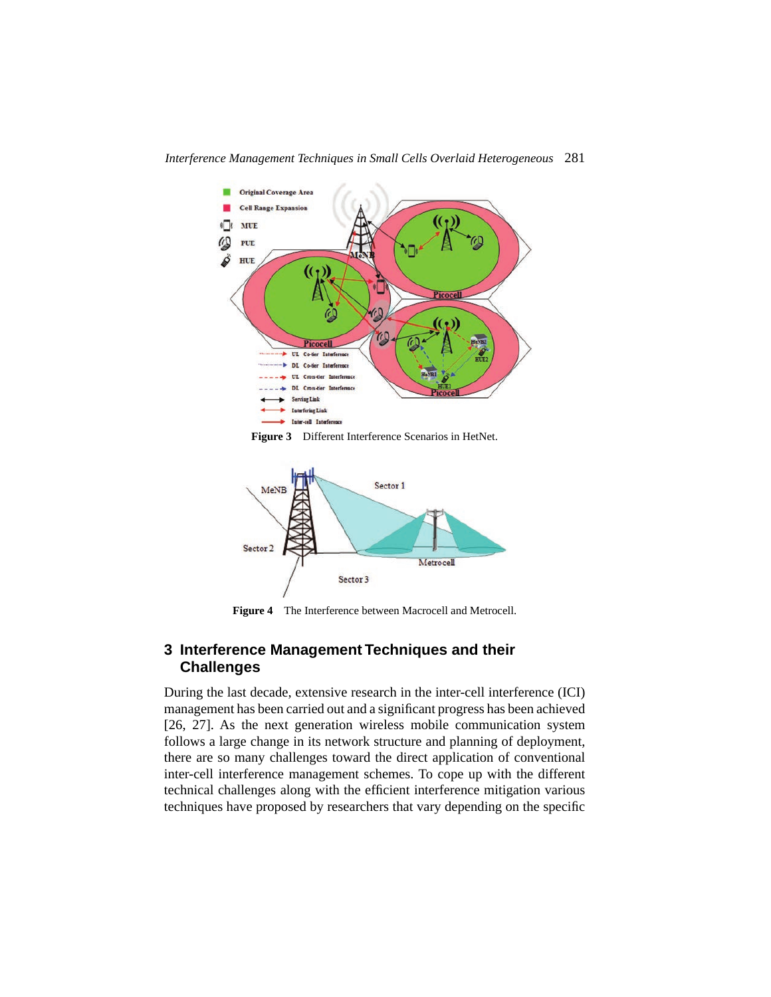

**Figure 3** Different Interference Scenarios in HetNet.



**Figure 4** The Interference between Macrocell and Metrocell.

# **3 Interference Management Techniques and their Challenges**

During the last decade, extensive research in the inter-cell interference (ICI) management has been carried out and a significant progress has been achieved [26, 27]. As the next generation wireless mobile communication system follows a large change in its network structure and planning of deployment, there are so many challenges toward the direct application of conventional inter-cell interference management schemes. To cope up with the different technical challenges along with the efficient interference mitigation various techniques have proposed by researchers that vary depending on the specific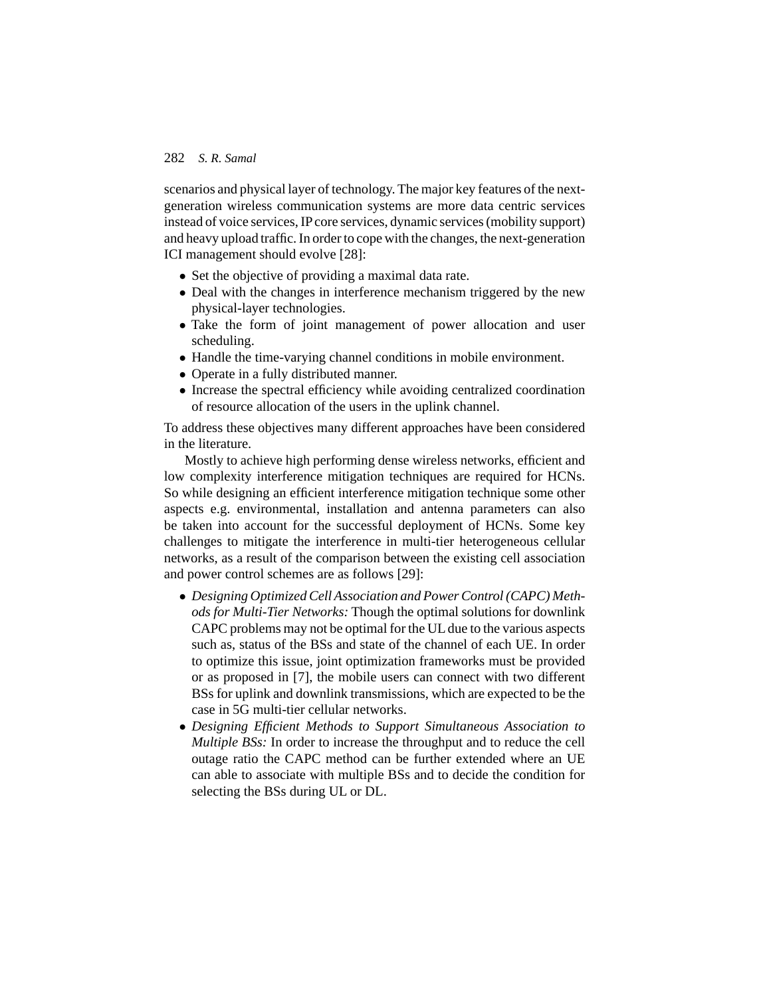scenarios and physical layer of technology. The major key features of the nextgeneration wireless communication systems are more data centric services instead of voice services, IP core services, dynamic services (mobility support) and heavy upload traffic. In order to cope with the changes, the next-generation ICI management should evolve [28]:

- Set the objective of providing a maximal data rate.
- Deal with the changes in interference mechanism triggered by the new physical-layer technologies.
- Take the form of joint management of power allocation and user scheduling.
- Handle the time-varying channel conditions in mobile environment.
- Operate in a fully distributed manner.
- Increase the spectral efficiency while avoiding centralized coordination of resource allocation of the users in the uplink channel.

To address these objectives many different approaches have been considered in the literature.

Mostly to achieve high performing dense wireless networks, efficient and low complexity interference mitigation techniques are required for HCNs. So while designing an efficient interference mitigation technique some other aspects e.g. environmental, installation and antenna parameters can also be taken into account for the successful deployment of HCNs. Some key challenges to mitigate the interference in multi-tier heterogeneous cellular networks, as a result of the comparison between the existing cell association and power control schemes are as follows [29]:

- *Designing Optimized Cell Association and Power Control (CAPC) Methods for Multi-Tier Networks:* Though the optimal solutions for downlink CAPC problems may not be optimal for the UL due to the various aspects such as, status of the BSs and state of the channel of each UE. In order to optimize this issue, joint optimization frameworks must be provided or as proposed in [7], the mobile users can connect with two different BSs for uplink and downlink transmissions, which are expected to be the case in 5G multi-tier cellular networks.
- *Designing Efficient Methods to Support Simultaneous Association to Multiple BSs:* In order to increase the throughput and to reduce the cell outage ratio the CAPC method can be further extended where an UE can able to associate with multiple BSs and to decide the condition for selecting the BSs during UL or DL.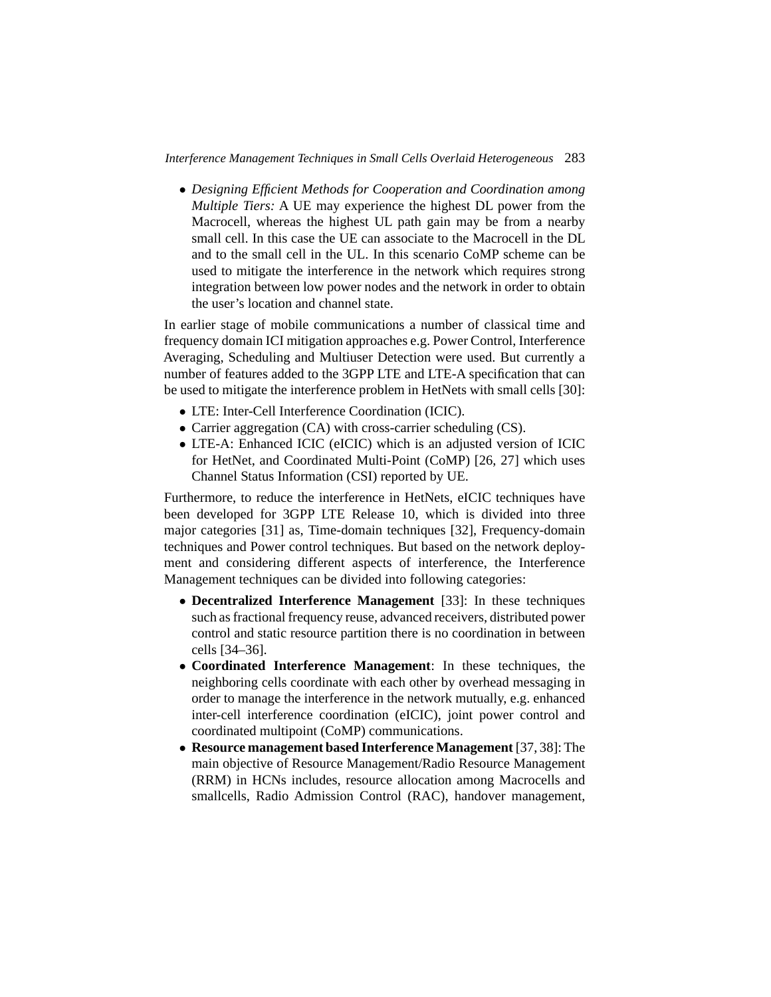• *Designing Efficient Methods for Cooperation and Coordination among Multiple Tiers:* A UE may experience the highest DL power from the Macrocell, whereas the highest UL path gain may be from a nearby small cell. In this case the UE can associate to the Macrocell in the DL and to the small cell in the UL. In this scenario CoMP scheme can be used to mitigate the interference in the network which requires strong integration between low power nodes and the network in order to obtain the user's location and channel state.

In earlier stage of mobile communications a number of classical time and frequency domain ICI mitigation approaches e.g. Power Control, Interference Averaging, Scheduling and Multiuser Detection were used. But currently a number of features added to the 3GPP LTE and LTE-A specification that can be used to mitigate the interference problem in HetNets with small cells [30]:

- LTE: Inter-Cell Interference Coordination (ICIC).
- Carrier aggregation (CA) with cross-carrier scheduling (CS).
- LTE-A: Enhanced ICIC (eICIC) which is an adjusted version of ICIC for HetNet, and Coordinated Multi-Point (CoMP) [26, 27] which uses Channel Status Information (CSI) reported by UE.

Furthermore, to reduce the interference in HetNets, eICIC techniques have been developed for 3GPP LTE Release 10, which is divided into three major categories [31] as, Time-domain techniques [32], Frequency-domain techniques and Power control techniques. But based on the network deployment and considering different aspects of interference, the Interference Management techniques can be divided into following categories:

- **Decentralized Interference Management** [33]: In these techniques such as fractional frequency reuse, advanced receivers, distributed power control and static resource partition there is no coordination in between cells [34–36].
- **Coordinated Interference Management**: In these techniques, the neighboring cells coordinate with each other by overhead messaging in order to manage the interference in the network mutually, e.g. enhanced inter-cell interference coordination (eICIC), joint power control and coordinated multipoint (CoMP) communications.
- **Resource management based Interference Management** [37, 38]: The main objective of Resource Management/Radio Resource Management (RRM) in HCNs includes, resource allocation among Macrocells and smallcells, Radio Admission Control (RAC), handover management,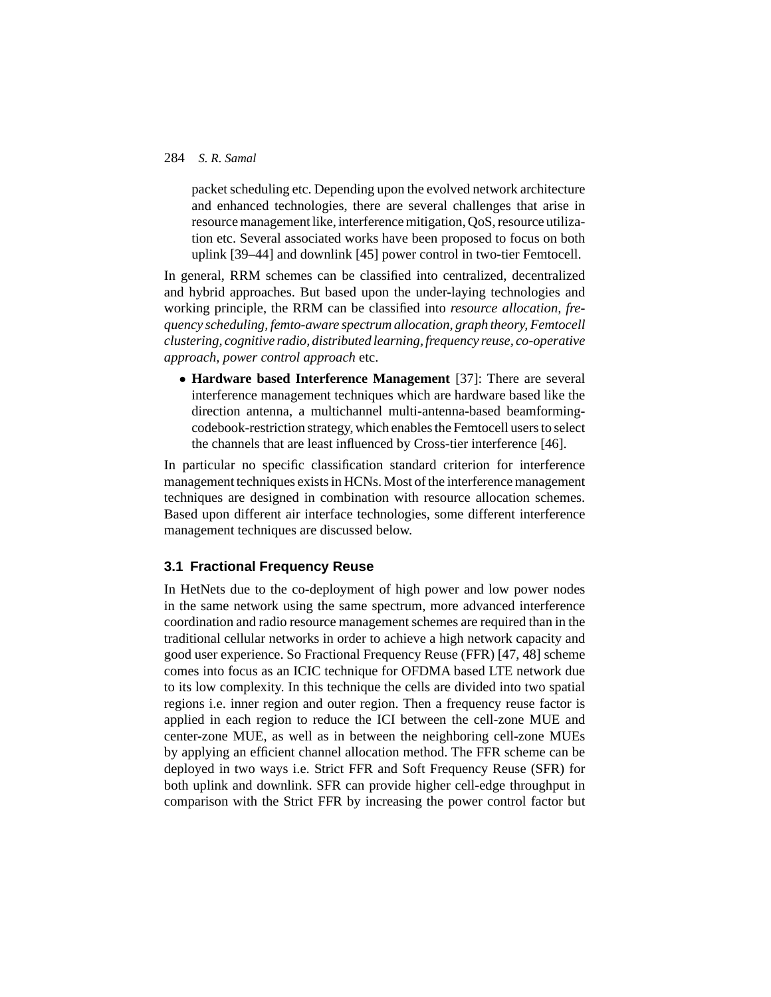packet scheduling etc. Depending upon the evolved network architecture and enhanced technologies, there are several challenges that arise in resource management like, interference mitigation, QoS, resource utilization etc. Several associated works have been proposed to focus on both uplink [39–44] and downlink [45] power control in two-tier Femtocell.

In general, RRM schemes can be classified into centralized, decentralized and hybrid approaches. But based upon the under-laying technologies and working principle, the RRM can be classified into *resource allocation, frequency scheduling, femto-aware spectrum allocation, graph theory, Femtocell clustering, cognitive radio, distributed learning, frequency reuse, co-operative approach, power control approach* etc.

• **Hardware based Interference Management** [37]: There are several interference management techniques which are hardware based like the direction antenna, a multichannel multi-antenna-based beamformingcodebook-restriction strategy, which enables the Femtocell users to select the channels that are least influenced by Cross-tier interference [46].

In particular no specific classification standard criterion for interference management techniques exists in HCNs. Most of the interference management techniques are designed in combination with resource allocation schemes. Based upon different air interface technologies, some different interference management techniques are discussed below.

## **3.1 Fractional Frequency Reuse**

In HetNets due to the co-deployment of high power and low power nodes in the same network using the same spectrum, more advanced interference coordination and radio resource management schemes are required than in the traditional cellular networks in order to achieve a high network capacity and good user experience. So Fractional Frequency Reuse (FFR) [47, 48] scheme comes into focus as an ICIC technique for OFDMA based LTE network due to its low complexity. In this technique the cells are divided into two spatial regions i.e. inner region and outer region. Then a frequency reuse factor is applied in each region to reduce the ICI between the cell-zone MUE and center-zone MUE, as well as in between the neighboring cell-zone MUEs by applying an efficient channel allocation method. The FFR scheme can be deployed in two ways i.e. Strict FFR and Soft Frequency Reuse (SFR) for both uplink and downlink. SFR can provide higher cell-edge throughput in comparison with the Strict FFR by increasing the power control factor but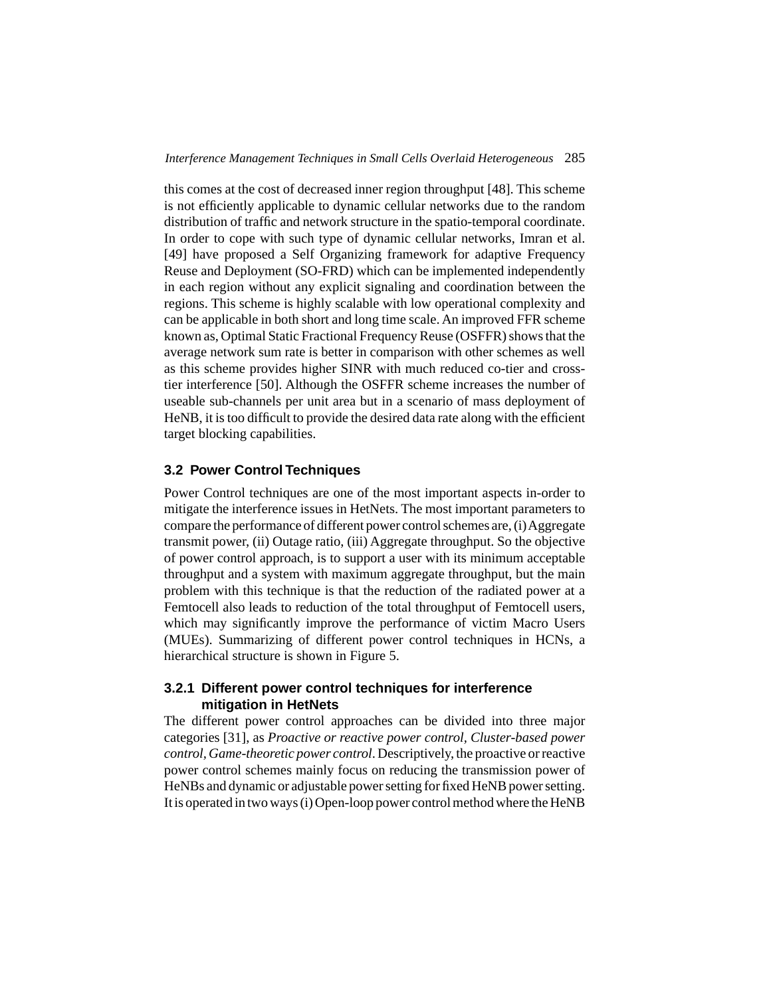this comes at the cost of decreased inner region throughput [48]. This scheme is not efficiently applicable to dynamic cellular networks due to the random distribution of traffic and network structure in the spatio-temporal coordinate. In order to cope with such type of dynamic cellular networks, Imran et al. [49] have proposed a Self Organizing framework for adaptive Frequency Reuse and Deployment (SO-FRD) which can be implemented independently in each region without any explicit signaling and coordination between the regions. This scheme is highly scalable with low operational complexity and can be applicable in both short and long time scale. An improved FFR scheme known as, Optimal Static Fractional Frequency Reuse (OSFFR) shows that the average network sum rate is better in comparison with other schemes as well as this scheme provides higher SINR with much reduced co-tier and crosstier interference [50]. Although the OSFFR scheme increases the number of useable sub-channels per unit area but in a scenario of mass deployment of HeNB, it is too difficult to provide the desired data rate along with the efficient target blocking capabilities.

# **3.2 Power Control Techniques**

Power Control techniques are one of the most important aspects in-order to mitigate the interference issues in HetNets. The most important parameters to compare the performance of different power control schemes are, (i) Aggregate transmit power, (ii) Outage ratio, (iii) Aggregate throughput. So the objective of power control approach, is to support a user with its minimum acceptable throughput and a system with maximum aggregate throughput, but the main problem with this technique is that the reduction of the radiated power at a Femtocell also leads to reduction of the total throughput of Femtocell users, which may significantly improve the performance of victim Macro Users (MUEs). Summarizing of different power control techniques in HCNs, a hierarchical structure is shown in Figure 5.

## **3.2.1 Different power control techniques for interference mitigation in HetNets**

The different power control approaches can be divided into three major categories [31], as *Proactive or reactive power control, Cluster-based power control, Game-theoretic power control*. Descriptively, the proactive or reactive power control schemes mainly focus on reducing the transmission power of HeNBs and dynamic or adjustable power setting for fixed HeNB power setting. It is operated in two ways (i) Open-loop power control method where the HeNB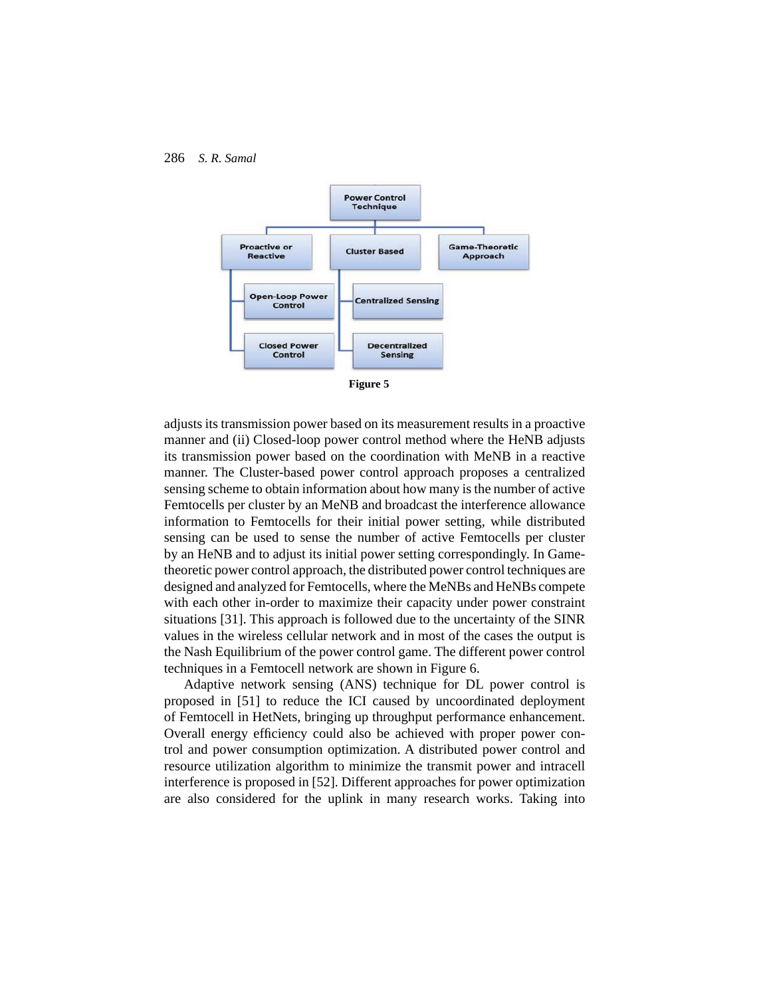



**Figure 5**

adjusts its transmission power based on its measurement results in a proactive manner and (ii) Closed-loop power control method where the HeNB adjusts its transmission power based on the coordination with MeNB in a reactive manner. The Cluster-based power control approach proposes a centralized sensing scheme to obtain information about how many is the number of active Femtocells per cluster by an MeNB and broadcast the interference allowance information to Femtocells for their initial power setting, while distributed sensing can be used to sense the number of active Femtocells per cluster by an HeNB and to adjust its initial power setting correspondingly. In Gametheoretic power control approach, the distributed power control techniques are designed and analyzed for Femtocells, where the MeNBs and HeNBs compete with each other in-order to maximize their capacity under power constraint situations [31]. This approach is followed due to the uncertainty of the SINR values in the wireless cellular network and in most of the cases the output is the Nash Equilibrium of the power control game. The different power control techniques in a Femtocell network are shown in Figure 6.

Adaptive network sensing (ANS) technique for DL power control is proposed in [51] to reduce the ICI caused by uncoordinated deployment of Femtocell in HetNets, bringing up throughput performance enhancement. Overall energy efficiency could also be achieved with proper power control and power consumption optimization. A distributed power control and resource utilization algorithm to minimize the transmit power and intracell interference is proposed in [52]. Different approaches for power optimization are also considered for the uplink in many research works. Taking into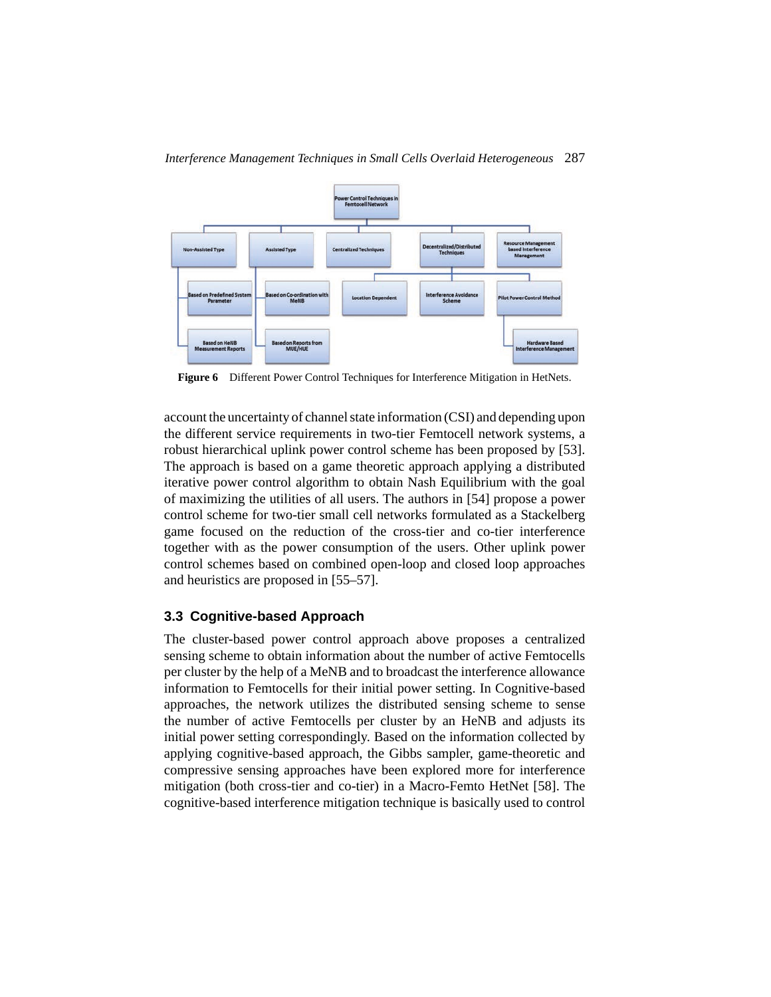

**Figure 6** Different Power Control Techniques for Interference Mitigation in HetNets.

account the uncertainty of channel state information (CSI) and depending upon the different service requirements in two-tier Femtocell network systems, a robust hierarchical uplink power control scheme has been proposed by [53]. The approach is based on a game theoretic approach applying a distributed iterative power control algorithm to obtain Nash Equilibrium with the goal of maximizing the utilities of all users. The authors in [54] propose a power control scheme for two-tier small cell networks formulated as a Stackelberg game focused on the reduction of the cross-tier and co-tier interference together with as the power consumption of the users. Other uplink power control schemes based on combined open-loop and closed loop approaches and heuristics are proposed in [55–57].

## **3.3 Cognitive-based Approach**

The cluster-based power control approach above proposes a centralized sensing scheme to obtain information about the number of active Femtocells per cluster by the help of a MeNB and to broadcast the interference allowance information to Femtocells for their initial power setting. In Cognitive-based approaches, the network utilizes the distributed sensing scheme to sense the number of active Femtocells per cluster by an HeNB and adjusts its initial power setting correspondingly. Based on the information collected by applying cognitive-based approach, the Gibbs sampler, game-theoretic and compressive sensing approaches have been explored more for interference mitigation (both cross-tier and co-tier) in a Macro-Femto HetNet [58]. The cognitive-based interference mitigation technique is basically used to control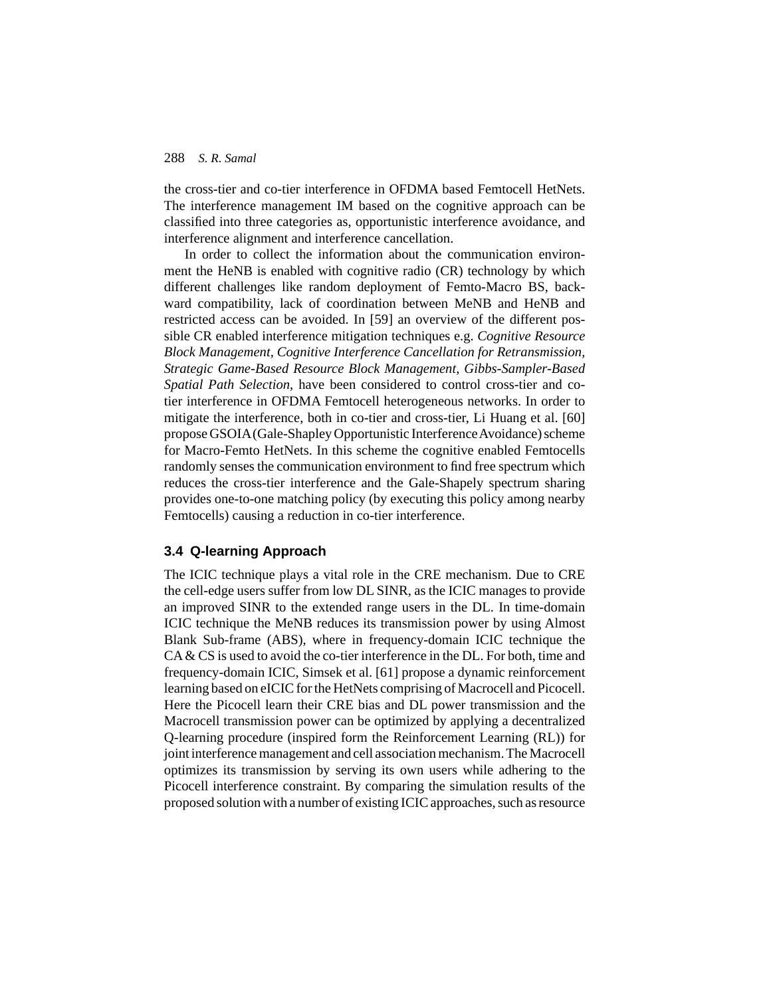the cross-tier and co-tier interference in OFDMA based Femtocell HetNets. The interference management IM based on the cognitive approach can be classified into three categories as, opportunistic interference avoidance, and interference alignment and interference cancellation.

In order to collect the information about the communication environment the HeNB is enabled with cognitive radio (CR) technology by which different challenges like random deployment of Femto-Macro BS, backward compatibility, lack of coordination between MeNB and HeNB and restricted access can be avoided. In [59] an overview of the different possible CR enabled interference mitigation techniques e.g. *Cognitive Resource Block Management, Cognitive Interference Cancellation for Retransmission, Strategic Game-Based Resource Block Management, Gibbs-Sampler-Based Spatial Path Selection*, have been considered to control cross-tier and cotier interference in OFDMA Femtocell heterogeneous networks. In order to mitigate the interference, both in co-tier and cross-tier, Li Huang et al. [60] propose GSOIA (Gale-Shapley Opportunistic InterferenceAvoidance) scheme for Macro-Femto HetNets. In this scheme the cognitive enabled Femtocells randomly senses the communication environment to find free spectrum which reduces the cross-tier interference and the Gale-Shapely spectrum sharing provides one-to-one matching policy (by executing this policy among nearby Femtocells) causing a reduction in co-tier interference.

#### **3.4 Q-learning Approach**

The ICIC technique plays a vital role in the CRE mechanism. Due to CRE the cell-edge users suffer from low DL SINR, as the ICIC manages to provide an improved SINR to the extended range users in the DL. In time-domain ICIC technique the MeNB reduces its transmission power by using Almost Blank Sub-frame (ABS), where in frequency-domain ICIC technique the CA & CS is used to avoid the co-tier interference in the DL. For both, time and frequency-domain ICIC, Simsek et al. [61] propose a dynamic reinforcement learning based on eICIC for the HetNets comprising of Macrocell and Picocell. Here the Picocell learn their CRE bias and DL power transmission and the Macrocell transmission power can be optimized by applying a decentralized Q-learning procedure (inspired form the Reinforcement Learning (RL)) for joint interference management and cell association mechanism. The Macrocell optimizes its transmission by serving its own users while adhering to the Picocell interference constraint. By comparing the simulation results of the proposed solution with a number of existing ICIC approaches, such as resource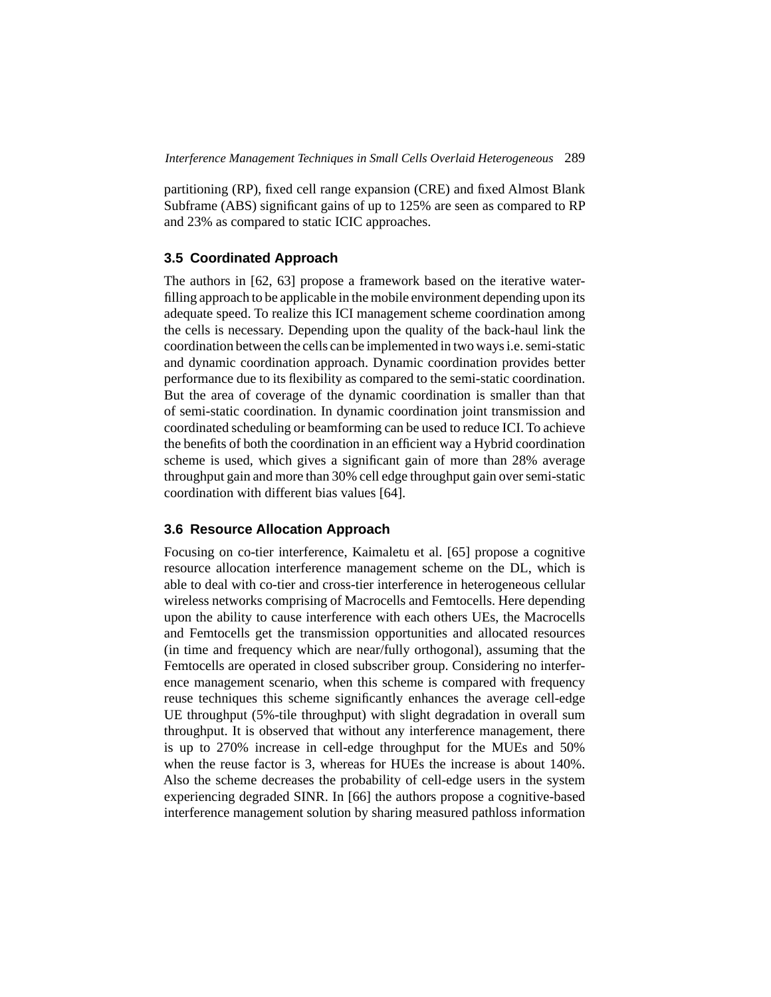partitioning (RP), fixed cell range expansion (CRE) and fixed Almost Blank Subframe (ABS) significant gains of up to 125% are seen as compared to RP and 23% as compared to static ICIC approaches.

## **3.5 Coordinated Approach**

The authors in [62, 63] propose a framework based on the iterative waterfilling approach to be applicable in the mobile environment depending upon its adequate speed. To realize this ICI management scheme coordination among the cells is necessary. Depending upon the quality of the back-haul link the coordination between the cells can be implemented in two ways i.e. semi-static and dynamic coordination approach. Dynamic coordination provides better performance due to its flexibility as compared to the semi-static coordination. But the area of coverage of the dynamic coordination is smaller than that of semi-static coordination. In dynamic coordination joint transmission and coordinated scheduling or beamforming can be used to reduce ICI. To achieve the benefits of both the coordination in an efficient way a Hybrid coordination scheme is used, which gives a significant gain of more than 28% average throughput gain and more than 30% cell edge throughput gain over semi-static coordination with different bias values [64].

## **3.6 Resource Allocation Approach**

Focusing on co-tier interference, Kaimaletu et al. [65] propose a cognitive resource allocation interference management scheme on the DL, which is able to deal with co-tier and cross-tier interference in heterogeneous cellular wireless networks comprising of Macrocells and Femtocells. Here depending upon the ability to cause interference with each others UEs, the Macrocells and Femtocells get the transmission opportunities and allocated resources (in time and frequency which are near/fully orthogonal), assuming that the Femtocells are operated in closed subscriber group. Considering no interference management scenario, when this scheme is compared with frequency reuse techniques this scheme significantly enhances the average cell-edge UE throughput (5%-tile throughput) with slight degradation in overall sum throughput. It is observed that without any interference management, there is up to 270% increase in cell-edge throughput for the MUEs and 50% when the reuse factor is 3, whereas for HUEs the increase is about 140%. Also the scheme decreases the probability of cell-edge users in the system experiencing degraded SINR. In [66] the authors propose a cognitive-based interference management solution by sharing measured pathloss information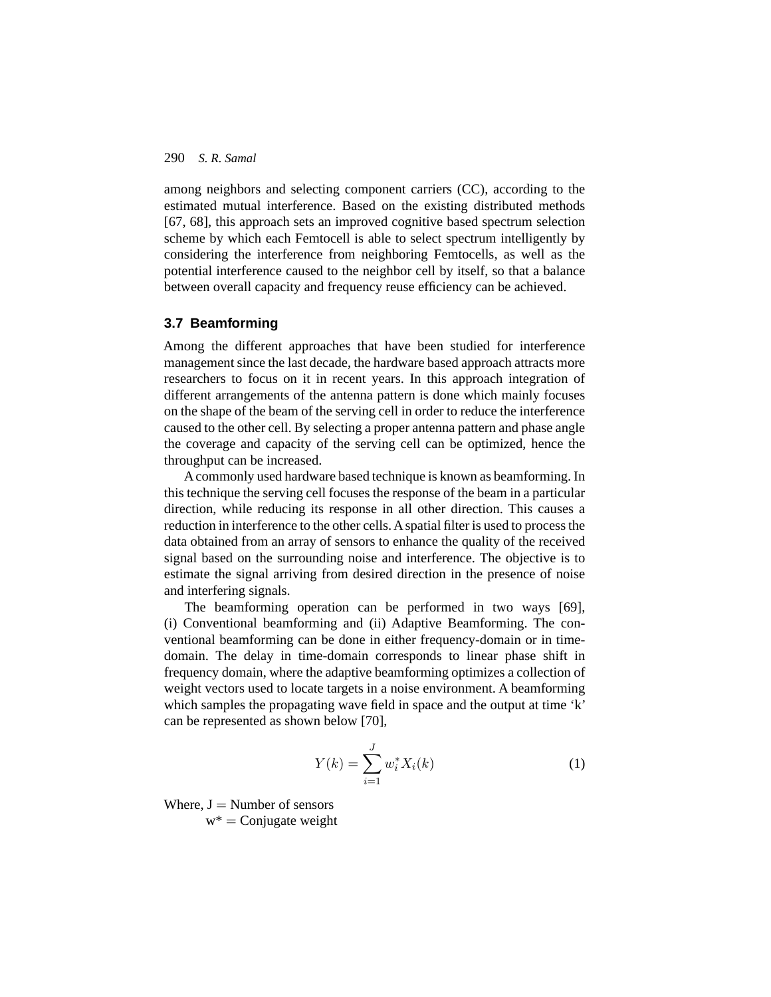among neighbors and selecting component carriers (CC), according to the estimated mutual interference. Based on the existing distributed methods [67, 68], this approach sets an improved cognitive based spectrum selection scheme by which each Femtocell is able to select spectrum intelligently by considering the interference from neighboring Femtocells, as well as the potential interference caused to the neighbor cell by itself, so that a balance between overall capacity and frequency reuse efficiency can be achieved.

#### **3.7 Beamforming**

Among the different approaches that have been studied for interference management since the last decade, the hardware based approach attracts more researchers to focus on it in recent years. In this approach integration of different arrangements of the antenna pattern is done which mainly focuses on the shape of the beam of the serving cell in order to reduce the interference caused to the other cell. By selecting a proper antenna pattern and phase angle the coverage and capacity of the serving cell can be optimized, hence the throughput can be increased.

A commonly used hardware based technique is known as beamforming. In this technique the serving cell focuses the response of the beam in a particular direction, while reducing its response in all other direction. This causes a reduction in interference to the other cells. A spatial filter is used to process the data obtained from an array of sensors to enhance the quality of the received signal based on the surrounding noise and interference. The objective is to estimate the signal arriving from desired direction in the presence of noise and interfering signals.

The beamforming operation can be performed in two ways [69], (i) Conventional beamforming and (ii) Adaptive Beamforming. The conventional beamforming can be done in either frequency-domain or in timedomain. The delay in time-domain corresponds to linear phase shift in frequency domain, where the adaptive beamforming optimizes a collection of weight vectors used to locate targets in a noise environment. A beamforming which samples the propagating wave field in space and the output at time 'k' can be represented as shown below [70],

$$
Y(k) = \sum_{i=1}^{J} w_i^* X_i(k)
$$
 (1)

Where,  $J =$  Number of sensors  $w^* =$ Conjugate weight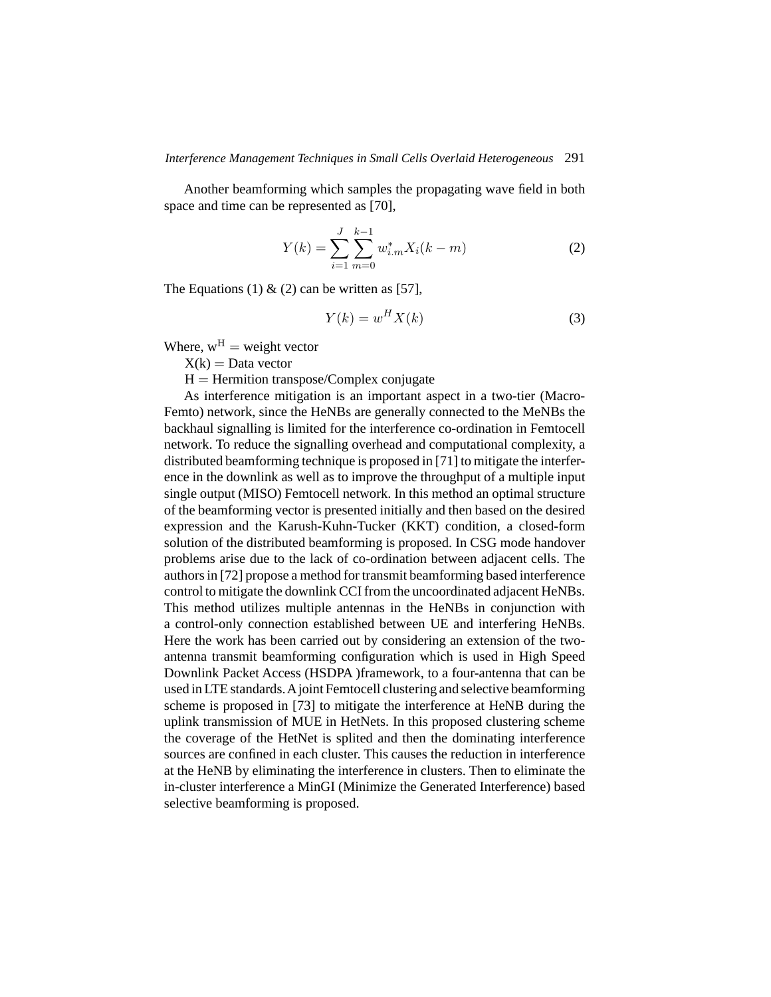Another beamforming which samples the propagating wave field in both space and time can be represented as [70],

$$
Y(k) = \sum_{i=1}^{J} \sum_{m=0}^{k-1} w_{i,m}^* X_i(k-m)
$$
 (2)

The Equations (1)  $\&$  (2) can be written as [57],

$$
Y(k) = w^H X(k)
$$
 (3)

Where,  $w^H$  = weight vector

 $X(k) = Data vector$ 

 $H =$  Hermition transpose/Complex conjugate

As interference mitigation is an important aspect in a two-tier (Macro-Femto) network, since the HeNBs are generally connected to the MeNBs the backhaul signalling is limited for the interference co-ordination in Femtocell network. To reduce the signalling overhead and computational complexity, a distributed beamforming technique is proposed in [71] to mitigate the interference in the downlink as well as to improve the throughput of a multiple input single output (MISO) Femtocell network. In this method an optimal structure of the beamforming vector is presented initially and then based on the desired expression and the Karush-Kuhn-Tucker (KKT) condition, a closed-form solution of the distributed beamforming is proposed. In CSG mode handover problems arise due to the lack of co-ordination between adjacent cells. The authors in [72] propose a method for transmit beamforming based interference control to mitigate the downlink CCI from the uncoordinated adjacent HeNBs. This method utilizes multiple antennas in the HeNBs in conjunction with a control-only connection established between UE and interfering HeNBs. Here the work has been carried out by considering an extension of the twoantenna transmit beamforming configuration which is used in High Speed Downlink Packet Access (HSDPA )framework, to a four-antenna that can be used in LTE standards.Ajoint Femtocell clustering and selective beamforming scheme is proposed in [73] to mitigate the interference at HeNB during the uplink transmission of MUE in HetNets. In this proposed clustering scheme the coverage of the HetNet is splited and then the dominating interference sources are confined in each cluster. This causes the reduction in interference at the HeNB by eliminating the interference in clusters. Then to eliminate the in-cluster interference a MinGI (Minimize the Generated Interference) based selective beamforming is proposed.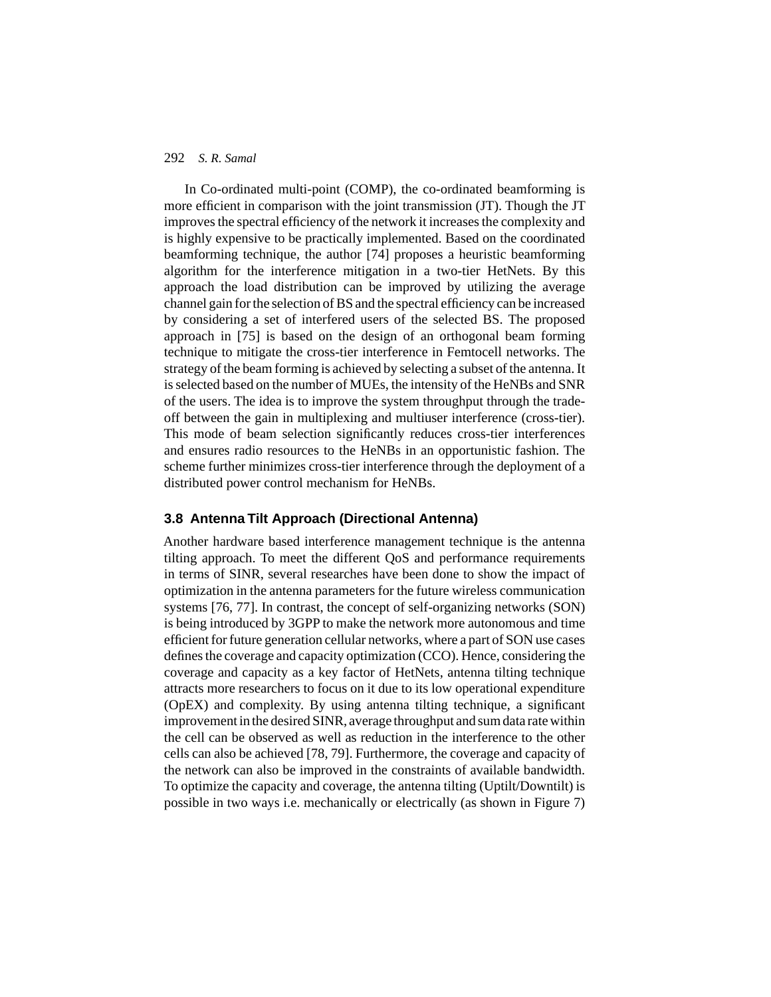In Co-ordinated multi-point (COMP), the co-ordinated beamforming is more efficient in comparison with the joint transmission (JT). Though the JT improves the spectral efficiency of the network it increases the complexity and is highly expensive to be practically implemented. Based on the coordinated beamforming technique, the author [74] proposes a heuristic beamforming algorithm for the interference mitigation in a two-tier HetNets. By this approach the load distribution can be improved by utilizing the average channel gain for the selection of BS and the spectral efficiency can be increased by considering a set of interfered users of the selected BS. The proposed approach in [75] is based on the design of an orthogonal beam forming technique to mitigate the cross-tier interference in Femtocell networks. The strategy of the beam forming is achieved by selecting a subset of the antenna. It is selected based on the number of MUEs, the intensity of the HeNBs and SNR of the users. The idea is to improve the system throughput through the tradeoff between the gain in multiplexing and multiuser interference (cross-tier). This mode of beam selection significantly reduces cross-tier interferences and ensures radio resources to the HeNBs in an opportunistic fashion. The scheme further minimizes cross-tier interference through the deployment of a distributed power control mechanism for HeNBs.

## **3.8 Antenna Tilt Approach (Directional Antenna)**

Another hardware based interference management technique is the antenna tilting approach. To meet the different QoS and performance requirements in terms of SINR, several researches have been done to show the impact of optimization in the antenna parameters for the future wireless communication systems [76, 77]. In contrast, the concept of self-organizing networks (SON) is being introduced by 3GPP to make the network more autonomous and time efficient for future generation cellular networks, where a part of SON use cases defines the coverage and capacity optimization (CCO). Hence, considering the coverage and capacity as a key factor of HetNets, antenna tilting technique attracts more researchers to focus on it due to its low operational expenditure (OpEX) and complexity. By using antenna tilting technique, a significant improvement in the desired SINR, average throughput and sum data rate within the cell can be observed as well as reduction in the interference to the other cells can also be achieved [78, 79]. Furthermore, the coverage and capacity of the network can also be improved in the constraints of available bandwidth. To optimize the capacity and coverage, the antenna tilting (Uptilt/Downtilt) is possible in two ways i.e. mechanically or electrically (as shown in Figure 7)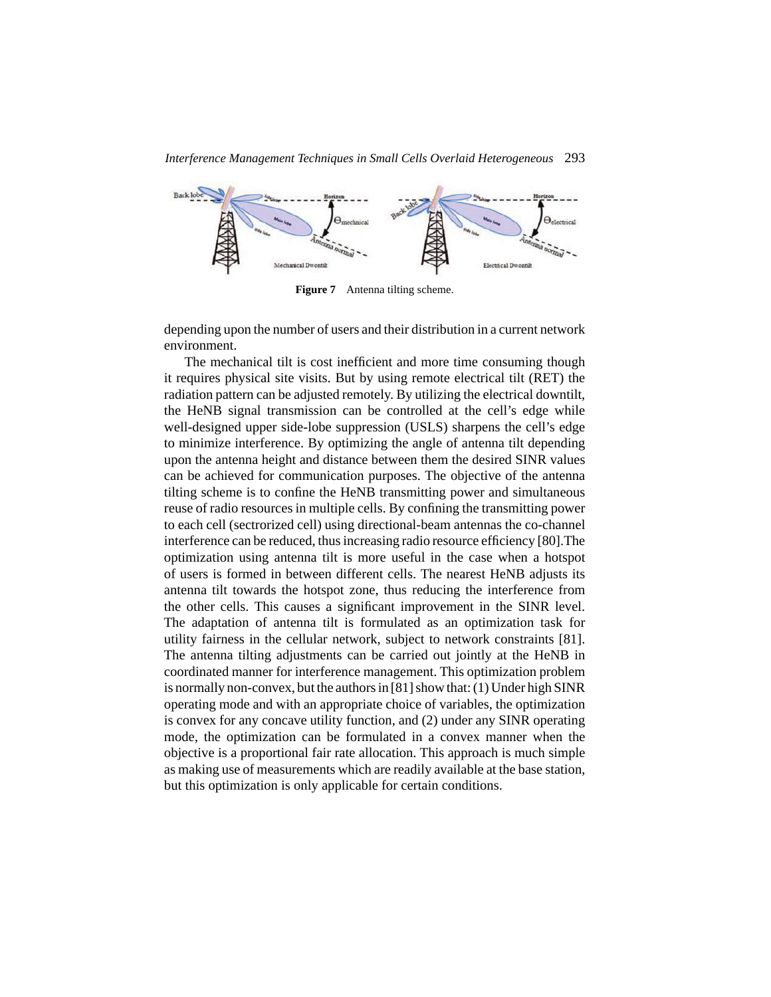

Figure 7 Antenna tilting scheme.

depending upon the number of users and their distribution in a current network environment.

The mechanical tilt is cost inefficient and more time consuming though it requires physical site visits. But by using remote electrical tilt (RET) the radiation pattern can be adjusted remotely. By utilizing the electrical downtilt, the HeNB signal transmission can be controlled at the cell's edge while well-designed upper side-lobe suppression (USLS) sharpens the cell's edge to minimize interference. By optimizing the angle of antenna tilt depending upon the antenna height and distance between them the desired SINR values can be achieved for communication purposes. The objective of the antenna tilting scheme is to confine the HeNB transmitting power and simultaneous reuse of radio resources in multiple cells. By confining the transmitting power to each cell (sectrorized cell) using directional-beam antennas the co-channel interference can be reduced, thus increasing radio resource efficiency [80].The optimization using antenna tilt is more useful in the case when a hotspot of users is formed in between different cells. The nearest HeNB adjusts its antenna tilt towards the hotspot zone, thus reducing the interference from the other cells. This causes a significant improvement in the SINR level. The adaptation of antenna tilt is formulated as an optimization task for utility fairness in the cellular network, subject to network constraints [81]. The antenna tilting adjustments can be carried out jointly at the HeNB in coordinated manner for interference management. This optimization problem is normally non-convex, but the authors in [81] show that: (1) Under high SINR operating mode and with an appropriate choice of variables, the optimization is convex for any concave utility function, and (2) under any SINR operating mode, the optimization can be formulated in a convex manner when the objective is a proportional fair rate allocation. This approach is much simple as making use of measurements which are readily available at the base station, but this optimization is only applicable for certain conditions.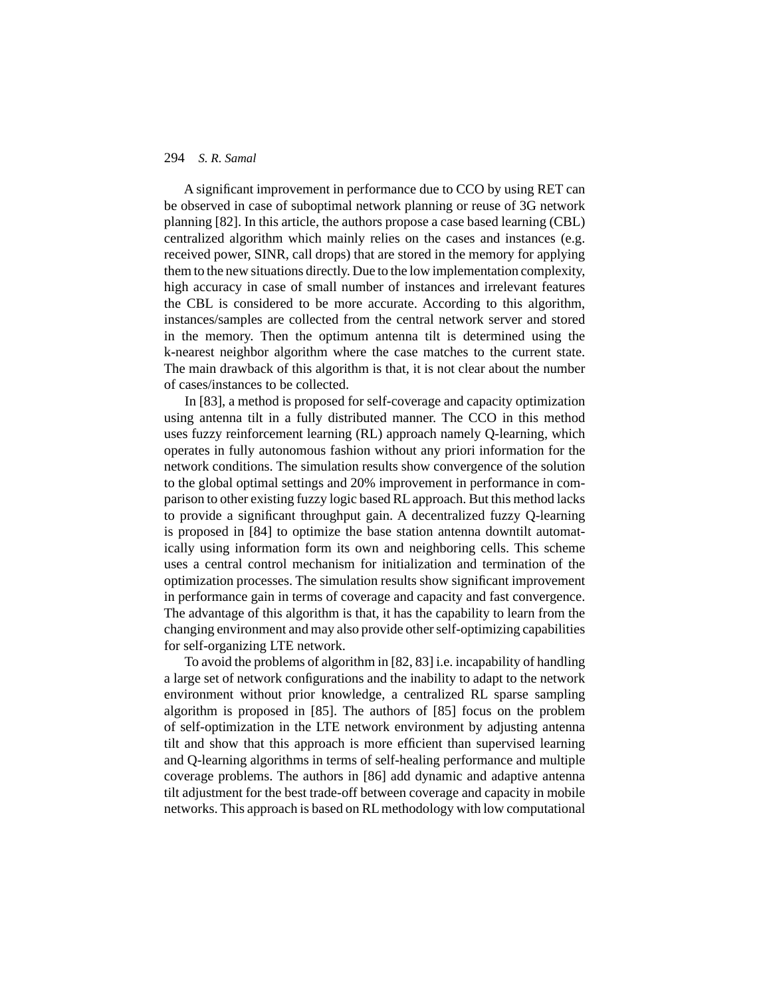A significant improvement in performance due to CCO by using RET can be observed in case of suboptimal network planning or reuse of 3G network planning [82]. In this article, the authors propose a case based learning (CBL) centralized algorithm which mainly relies on the cases and instances (e.g. received power, SINR, call drops) that are stored in the memory for applying them to the new situations directly. Due to the low implementation complexity, high accuracy in case of small number of instances and irrelevant features the CBL is considered to be more accurate. According to this algorithm, instances/samples are collected from the central network server and stored in the memory. Then the optimum antenna tilt is determined using the k-nearest neighbor algorithm where the case matches to the current state. The main drawback of this algorithm is that, it is not clear about the number of cases/instances to be collected.

In [83], a method is proposed for self-coverage and capacity optimization using antenna tilt in a fully distributed manner. The CCO in this method uses fuzzy reinforcement learning (RL) approach namely Q-learning, which operates in fully autonomous fashion without any priori information for the network conditions. The simulation results show convergence of the solution to the global optimal settings and 20% improvement in performance in comparison to other existing fuzzy logic based RL approach. But this method lacks to provide a significant throughput gain. A decentralized fuzzy Q-learning is proposed in [84] to optimize the base station antenna downtilt automatically using information form its own and neighboring cells. This scheme uses a central control mechanism for initialization and termination of the optimization processes. The simulation results show significant improvement in performance gain in terms of coverage and capacity and fast convergence. The advantage of this algorithm is that, it has the capability to learn from the changing environment and may also provide other self-optimizing capabilities for self-organizing LTE network.

To avoid the problems of algorithm in [82, 83] i.e. incapability of handling a large set of network configurations and the inability to adapt to the network environment without prior knowledge, a centralized RL sparse sampling algorithm is proposed in [85]. The authors of [85] focus on the problem of self-optimization in the LTE network environment by adjusting antenna tilt and show that this approach is more efficient than supervised learning and Q-learning algorithms in terms of self-healing performance and multiple coverage problems. The authors in [86] add dynamic and adaptive antenna tilt adjustment for the best trade-off between coverage and capacity in mobile networks. This approach is based on RL methodology with low computational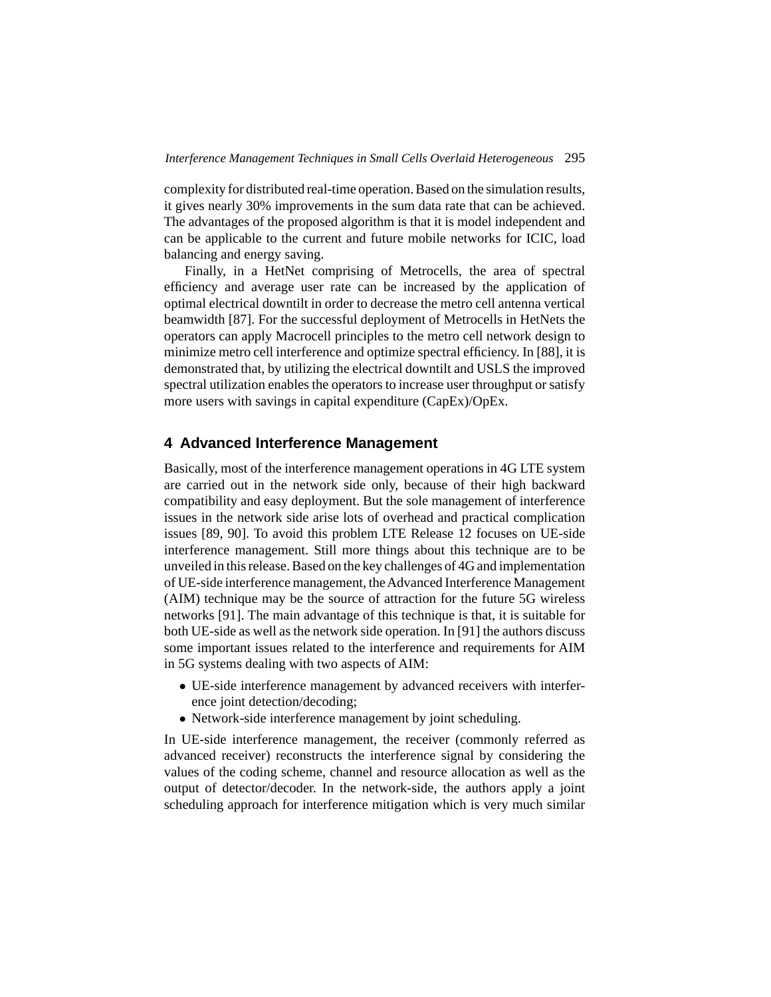complexity for distributed real-time operation. Based on the simulation results, it gives nearly 30% improvements in the sum data rate that can be achieved. The advantages of the proposed algorithm is that it is model independent and can be applicable to the current and future mobile networks for ICIC, load balancing and energy saving.

Finally, in a HetNet comprising of Metrocells, the area of spectral efficiency and average user rate can be increased by the application of optimal electrical downtilt in order to decrease the metro cell antenna vertical beamwidth [87]. For the successful deployment of Metrocells in HetNets the operators can apply Macrocell principles to the metro cell network design to minimize metro cell interference and optimize spectral efficiency. In [88], it is demonstrated that, by utilizing the electrical downtilt and USLS the improved spectral utilization enables the operators to increase user throughput or satisfy more users with savings in capital expenditure (CapEx)/OpEx.

## **4 Advanced Interference Management**

Basically, most of the interference management operations in 4G LTE system are carried out in the network side only, because of their high backward compatibility and easy deployment. But the sole management of interference issues in the network side arise lots of overhead and practical complication issues [89, 90]. To avoid this problem LTE Release 12 focuses on UE-side interference management. Still more things about this technique are to be unveiled in this release. Based on the key challenges of 4G and implementation of UE-side interference management, theAdvanced Interference Management (AIM) technique may be the source of attraction for the future 5G wireless networks [91]. The main advantage of this technique is that, it is suitable for both UE-side as well as the network side operation. In [91] the authors discuss some important issues related to the interference and requirements for AIM in 5G systems dealing with two aspects of AIM:

- UE-side interference management by advanced receivers with interference joint detection/decoding;
- Network-side interference management by joint scheduling.

In UE-side interference management, the receiver (commonly referred as advanced receiver) reconstructs the interference signal by considering the values of the coding scheme, channel and resource allocation as well as the output of detector/decoder. In the network-side, the authors apply a joint scheduling approach for interference mitigation which is very much similar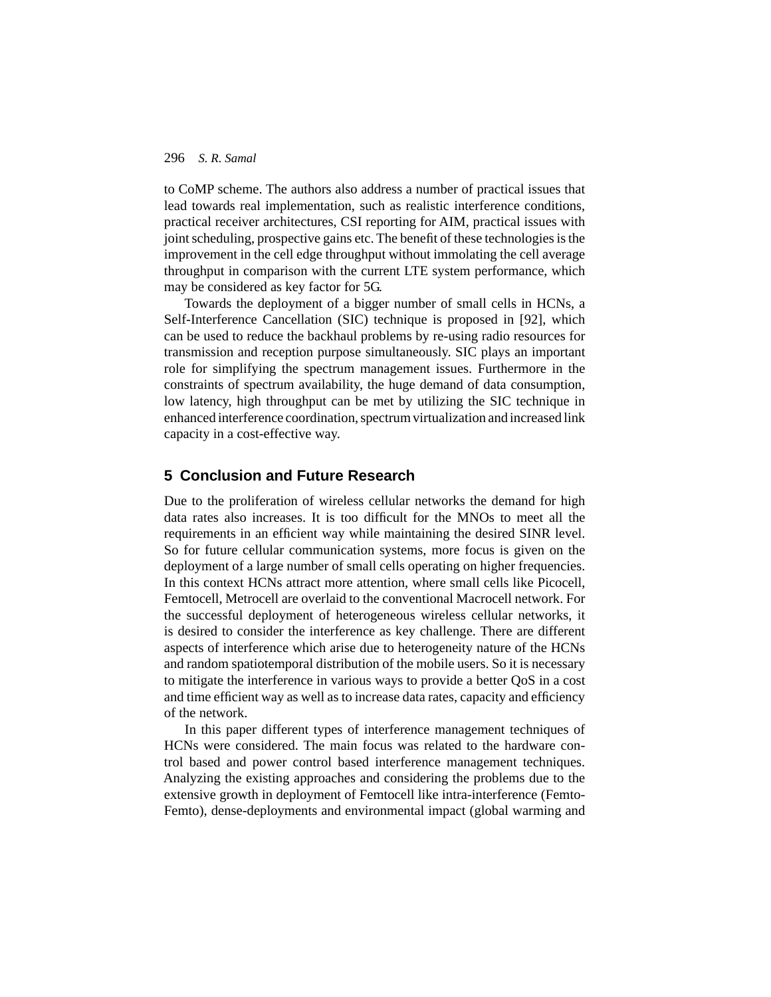to CoMP scheme. The authors also address a number of practical issues that lead towards real implementation, such as realistic interference conditions, practical receiver architectures, CSI reporting for AIM, practical issues with joint scheduling, prospective gains etc. The benefit of these technologies is the improvement in the cell edge throughput without immolating the cell average throughput in comparison with the current LTE system performance, which may be considered as key factor for 5G.

Towards the deployment of a bigger number of small cells in HCNs, a Self-Interference Cancellation (SIC) technique is proposed in [92], which can be used to reduce the backhaul problems by re-using radio resources for transmission and reception purpose simultaneously. SIC plays an important role for simplifying the spectrum management issues. Furthermore in the constraints of spectrum availability, the huge demand of data consumption, low latency, high throughput can be met by utilizing the SIC technique in enhanced interference coordination, spectrum virtualization and increased link capacity in a cost-effective way.

# **5 Conclusion and Future Research**

Due to the proliferation of wireless cellular networks the demand for high data rates also increases. It is too difficult for the MNOs to meet all the requirements in an efficient way while maintaining the desired SINR level. So for future cellular communication systems, more focus is given on the deployment of a large number of small cells operating on higher frequencies. In this context HCNs attract more attention, where small cells like Picocell, Femtocell, Metrocell are overlaid to the conventional Macrocell network. For the successful deployment of heterogeneous wireless cellular networks, it is desired to consider the interference as key challenge. There are different aspects of interference which arise due to heterogeneity nature of the HCNs and random spatiotemporal distribution of the mobile users. So it is necessary to mitigate the interference in various ways to provide a better QoS in a cost and time efficient way as well as to increase data rates, capacity and efficiency of the network.

In this paper different types of interference management techniques of HCNs were considered. The main focus was related to the hardware control based and power control based interference management techniques. Analyzing the existing approaches and considering the problems due to the extensive growth in deployment of Femtocell like intra-interference (Femto-Femto), dense-deployments and environmental impact (global warming and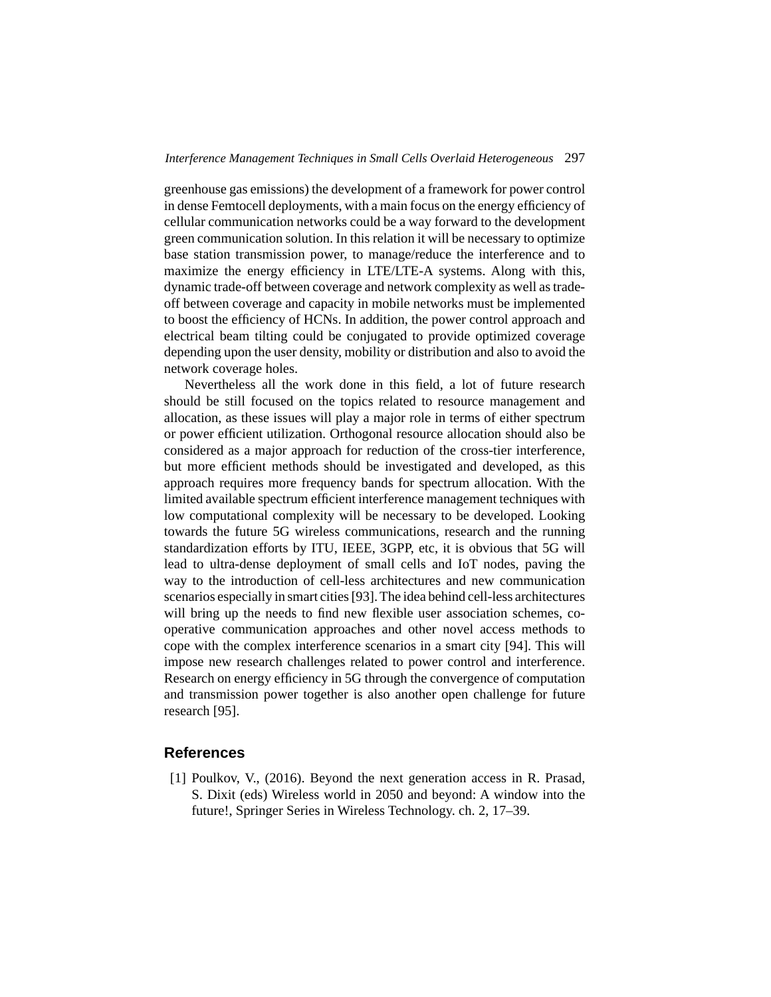greenhouse gas emissions) the development of a framework for power control in dense Femtocell deployments, with a main focus on the energy efficiency of cellular communication networks could be a way forward to the development green communication solution. In this relation it will be necessary to optimize base station transmission power, to manage/reduce the interference and to maximize the energy efficiency in LTE/LTE-A systems. Along with this, dynamic trade-off between coverage and network complexity as well as tradeoff between coverage and capacity in mobile networks must be implemented to boost the efficiency of HCNs. In addition, the power control approach and electrical beam tilting could be conjugated to provide optimized coverage depending upon the user density, mobility or distribution and also to avoid the network coverage holes.

Nevertheless all the work done in this field, a lot of future research should be still focused on the topics related to resource management and allocation, as these issues will play a major role in terms of either spectrum or power efficient utilization. Orthogonal resource allocation should also be considered as a major approach for reduction of the cross-tier interference, but more efficient methods should be investigated and developed, as this approach requires more frequency bands for spectrum allocation. With the limited available spectrum efficient interference management techniques with low computational complexity will be necessary to be developed. Looking towards the future 5G wireless communications, research and the running standardization efforts by ITU, IEEE, 3GPP, etc, it is obvious that 5G will lead to ultra-dense deployment of small cells and IoT nodes, paving the way to the introduction of cell-less architectures and new communication scenarios especially in smart cities [93]. The idea behind cell-less architectures will bring up the needs to find new flexible user association schemes, cooperative communication approaches and other novel access methods to cope with the complex interference scenarios in a smart city [94]. This will impose new research challenges related to power control and interference. Research on energy efficiency in 5G through the convergence of computation and transmission power together is also another open challenge for future research [95].

## **References**

[1] Poulkov, V., (2016). Beyond the next generation access in R. Prasad, S. Dixit (eds) Wireless world in 2050 and beyond: A window into the future!, Springer Series in Wireless Technology. ch. 2, 17–39.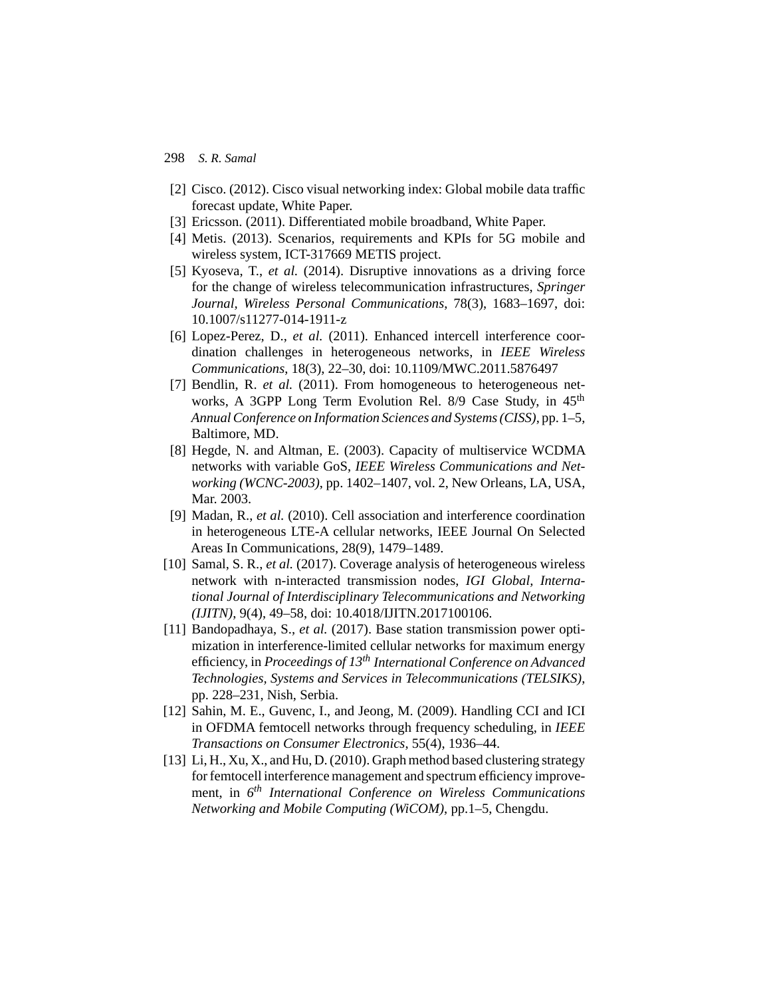- [2] Cisco. (2012). Cisco visual networking index: Global mobile data traffic forecast update, White Paper.
- [3] Ericsson. (2011). Differentiated mobile broadband, White Paper.
- [4] Metis. (2013). Scenarios, requirements and KPIs for 5G mobile and wireless system, ICT-317669 METIS project.
- [5] Kyoseva, T., *et al.* (2014). Disruptive innovations as a driving force for the change of wireless telecommunication infrastructures, *Springer Journal, Wireless Personal Communications*, 78(3), 1683–1697, doi: 10.1007/s11277-014-1911-z
- [6] Lopez-Perez, D., *et al.* (2011). Enhanced intercell interference coordination challenges in heterogeneous networks, in *IEEE Wireless Communications*, 18(3), 22–30, doi: 10.1109/MWC.2011.5876497
- [7] Bendlin, R. *et al.* (2011). From homogeneous to heterogeneous networks, A 3GPP Long Term Evolution Rel. 8/9 Case Study, in 45<sup>th</sup> *Annual Conference on Information Sciences and Systems (CISS)*, pp. 1–5, Baltimore, MD.
- [8] Hegde, N. and Altman, E. (2003). Capacity of multiservice WCDMA networks with variable GoS, *IEEE Wireless Communications and Networking (WCNC-2003)*, pp. 1402–1407, vol. 2, New Orleans, LA, USA, Mar. 2003.
- [9] Madan, R., *et al.* (2010). Cell association and interference coordination in heterogeneous LTE-A cellular networks, IEEE Journal On Selected Areas In Communications, 28(9), 1479–1489.
- [10] Samal, S. R., *et al.* (2017). Coverage analysis of heterogeneous wireless network with n-interacted transmission nodes, *IGI Global, International Journal of Interdisciplinary Telecommunications and Networking (IJITN)*, 9(4), 49–58, doi: 10.4018/IJITN.2017100106.
- [11] Bandopadhaya, S., *et al.* (2017). Base station transmission power optimization in interference-limited cellular networks for maximum energy efficiency, in *Proceedings of 13th International Conference on Advanced Technologies, Systems and Services in Telecommunications (TELSIKS)*, pp. 228–231, Nish, Serbia.
- [12] Sahin, M. E., Guvenc, I., and Jeong, M. (2009). Handling CCI and ICI in OFDMA femtocell networks through frequency scheduling, in *IEEE Transactions on Consumer Electronics*, 55(4), 1936–44.
- [13] Li, H., Xu, X., and Hu, D. (2010). Graph method based clustering strategy for femtocell interference management and spectrum efficiency improvement, in *6th International Conference on Wireless Communications Networking and Mobile Computing (WiCOM)*, pp.1–5, Chengdu.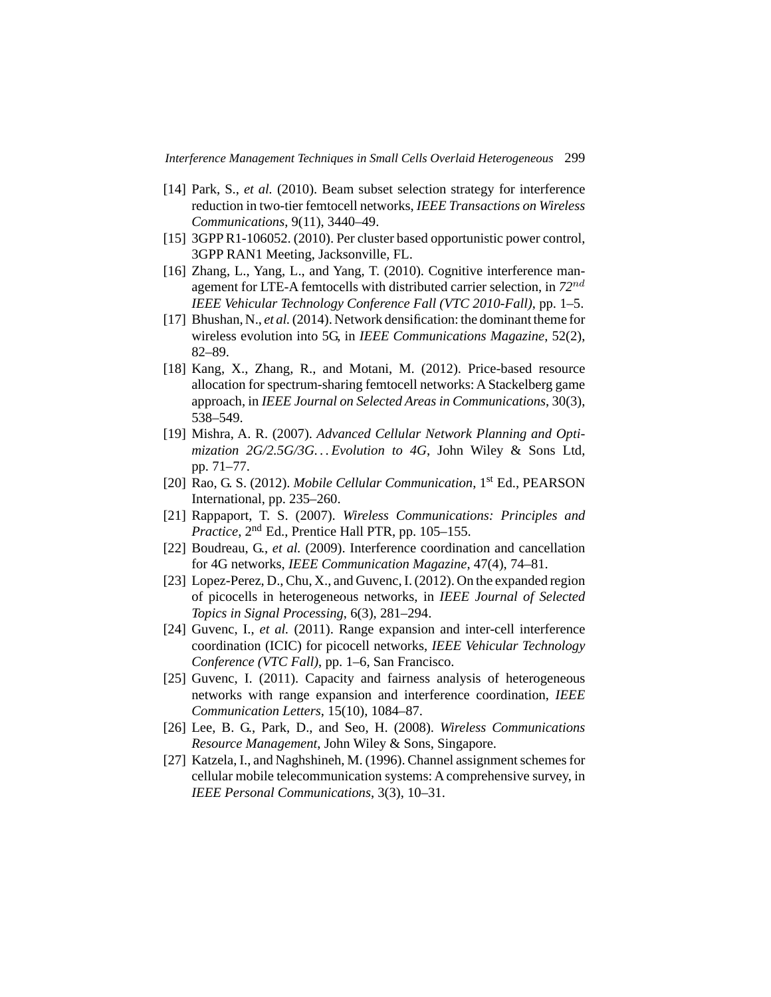- [14] Park, S., *et al.* (2010). Beam subset selection strategy for interference reduction in two-tier femtocell networks, *IEEE Transactions on Wireless Communications*, 9(11), 3440–49.
- [15] 3GPP R1-106052. (2010). Per cluster based opportunistic power control, 3GPP RAN1 Meeting, Jacksonville, FL.
- [16] Zhang, L., Yang, L., and Yang, T. (2010). Cognitive interference management for LTE-A femtocells with distributed carrier selection, in *72*nd *IEEE Vehicular Technology Conference Fall (VTC 2010-Fall)*, pp. 1–5.
- [17] Bhushan, N., *et al.*(2014). Network densification: the dominant theme for wireless evolution into 5G, in *IEEE Communications Magazine*, 52(2), 82–89.
- [18] Kang, X., Zhang, R., and Motani, M. (2012). Price-based resource allocation for spectrum-sharing femtocell networks: A Stackelberg game approach, in *IEEE Journal on Selected Areas in Communications*, 30(3), 538–549.
- [19] Mishra, A. R. (2007). *Advanced Cellular Network Planning and Optimization 2G/2.5G/3G. . . Evolution to 4G*, John Wiley & Sons Ltd, pp. 71–77.
- [20] Rao, G. S. (2012). *Mobile Cellular Communication*, 1st Ed., PEARSON International, pp. 235–260.
- [21] Rappaport, T. S. (2007). *Wireless Communications: Principles and Practice*, 2nd Ed., Prentice Hall PTR, pp. 105–155.
- [22] Boudreau, G., *et al.* (2009). Interference coordination and cancellation for 4G networks, *IEEE Communication Magazine*, 47(4), 74–81.
- [23] Lopez-Perez, D., Chu, X., and Guvenc, I. (2012). On the expanded region of picocells in heterogeneous networks, in *IEEE Journal of Selected Topics in Signal Processing*, 6(3), 281–294.
- [24] Guvenc, I., *et al.* (2011). Range expansion and inter-cell interference coordination (ICIC) for picocell networks, *IEEE Vehicular Technology Conference (VTC Fall)*, pp. 1–6, San Francisco.
- [25] Guvenc, I. (2011). Capacity and fairness analysis of heterogeneous networks with range expansion and interference coordination, *IEEE Communication Letters*, 15(10), 1084–87.
- [26] Lee, B. G., Park, D., and Seo, H. (2008). *Wireless Communications Resource Management*, John Wiley & Sons, Singapore.
- [27] Katzela, I., and Naghshineh, M. (1996). Channel assignment schemes for cellular mobile telecommunication systems: A comprehensive survey, in *IEEE Personal Communications*, 3(3), 10–31.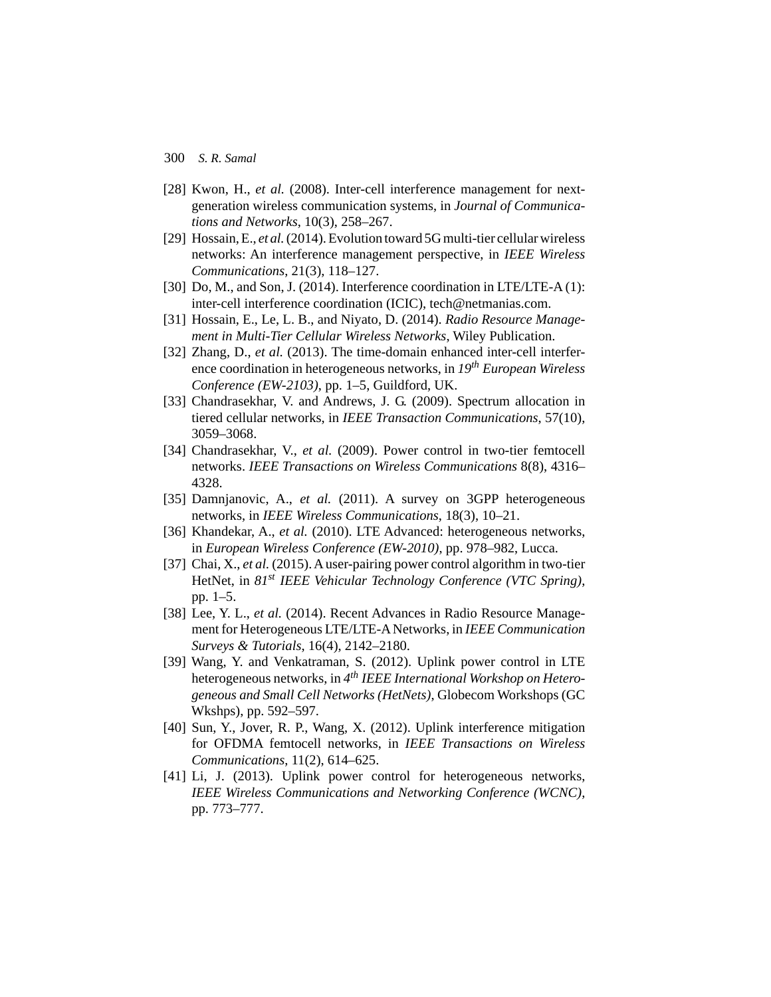- [28] Kwon, H., *et al.* (2008). Inter-cell interference management for nextgeneration wireless communication systems, in *Journal of Communications and Networks*, 10(3), 258–267.
- [29] Hossain, E., *et al.*(2014). Evolution toward 5G multi-tier cellular wireless networks: An interference management perspective, in *IEEE Wireless Communications*, 21(3), 118–127.
- [30] Do, M., and Son, J. (2014). Interference coordination in LTE/LTE-A (1): inter-cell interference coordination (ICIC), tech@netmanias.com.
- [31] Hossain, E., Le, L. B., and Niyato, D. (2014). *Radio Resource Management in Multi-Tier Cellular Wireless Networks*, Wiley Publication.
- [32] Zhang, D., *et al.* (2013). The time-domain enhanced inter-cell interference coordination in heterogeneous networks, in *19th European Wireless Conference (EW-2103)*, pp. 1–5, Guildford, UK.
- [33] Chandrasekhar, V. and Andrews, J. G. (2009). Spectrum allocation in tiered cellular networks, in *IEEE Transaction Communications*, 57(10), 3059–3068.
- [34] Chandrasekhar, V., *et al.* (2009). Power control in two-tier femtocell networks. *IEEE Transactions on Wireless Communications* 8(8), 4316– 4328.
- [35] Damnjanovic, A., *et al.* (2011). A survey on 3GPP heterogeneous networks, in *IEEE Wireless Communications*, 18(3), 10–21.
- [36] Khandekar, A., et al. (2010). LTE Advanced: heterogeneous networks, in *European Wireless Conference (EW-2010)*, pp. 978–982, Lucca.
- [37] Chai, X., *et al.* (2015). A user-pairing power control algorithm in two-tier HetNet, in *81st IEEE Vehicular Technology Conference (VTC Spring)*, pp. 1–5.
- [38] Lee, Y. L., *et al.* (2014). Recent Advances in Radio Resource Management for Heterogeneous LTE/LTE-A Networks, in *IEEE Communication Surveys & Tutorials*, 16(4), 2142–2180.
- [39] Wang, Y. and Venkatraman, S. (2012). Uplink power control in LTE heterogeneous networks, in *4th IEEE International Workshop on Heterogeneous and Small Cell Networks (HetNets)*, Globecom Workshops (GC Wkshps), pp. 592–597.
- [40] Sun, Y., Jover, R. P., Wang, X. (2012). Uplink interference mitigation for OFDMA femtocell networks, in *IEEE Transactions on Wireless Communications*, 11(2), 614–625.
- [41] Li, J. (2013). Uplink power control for heterogeneous networks, *IEEE Wireless Communications and Networking Conference (WCNC)*, pp. 773–777.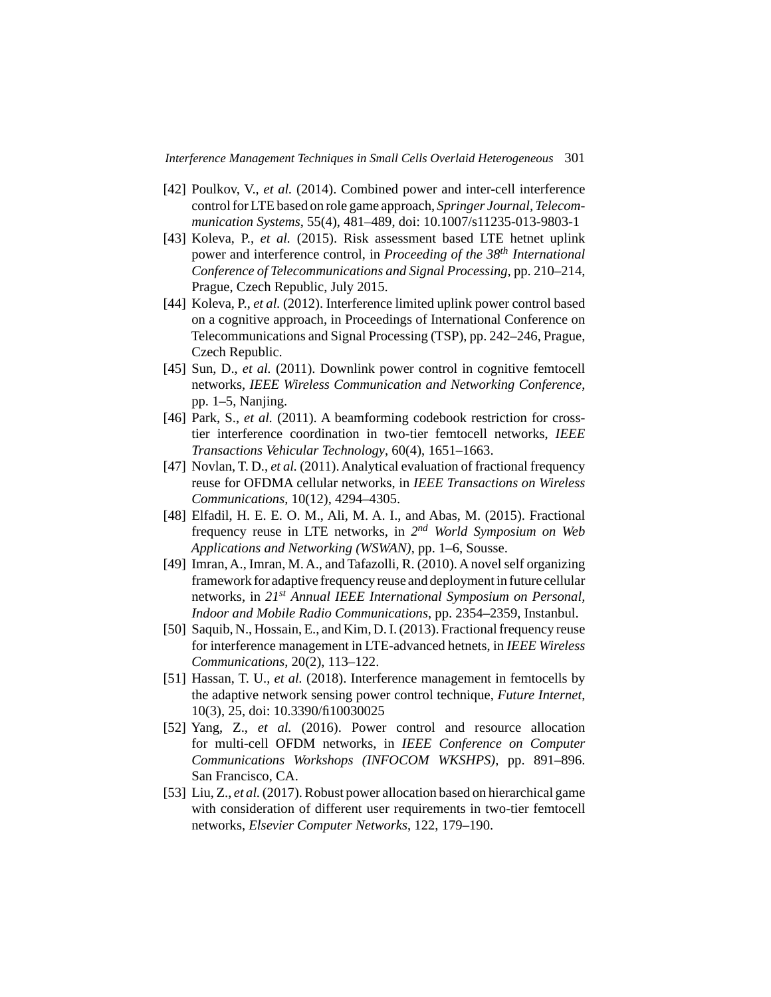- [42] Poulkov, V., *et al.* (2014). Combined power and inter-cell interference control for LTE based on role game approach, *Springer Journal, Telecommunication Systems*, 55(4), 481–489, doi: 10.1007/s11235-013-9803-1
- [43] Koleva, P., *et al.* (2015). Risk assessment based LTE hetnet uplink power and interference control, in *Proceeding of the 38th International Conference of Telecommunications and Signal Processing*, pp. 210–214, Prague, Czech Republic, July 2015.
- [44] Koleva, P., *et al.* (2012). Interference limited uplink power control based on a cognitive approach, in Proceedings of International Conference on Telecommunications and Signal Processing (TSP), pp. 242–246, Prague, Czech Republic.
- [45] Sun, D., *et al.* (2011). Downlink power control in cognitive femtocell networks, *IEEE Wireless Communication and Networking Conference*, pp. 1–5, Nanjing.
- [46] Park, S., *et al.* (2011). A beamforming codebook restriction for crosstier interference coordination in two-tier femtocell networks, *IEEE Transactions Vehicular Technology*, 60(4), 1651–1663.
- [47] Novlan, T. D., *et al.* (2011). Analytical evaluation of fractional frequency reuse for OFDMA cellular networks, in *IEEE Transactions on Wireless Communications*, 10(12), 4294–4305.
- [48] Elfadil, H. E. E. O. M., Ali, M. A. I., and Abas, M. (2015). Fractional frequency reuse in LTE networks, in *2nd World Symposium on Web Applications and Networking (WSWAN)*, pp. 1–6, Sousse.
- [49] Imran, A., Imran, M. A., and Tafazolli, R. (2010). A novel self organizing framework for adaptive frequency reuse and deployment in future cellular networks, in *21st Annual IEEE International Symposium on Personal, Indoor and Mobile Radio Communications*, pp. 2354–2359, Instanbul.
- [50] Saquib, N., Hossain, E., and Kim, D. I. (2013). Fractional frequency reuse for interference management in LTE-advanced hetnets, in *IEEE Wireless Communications*, 20(2), 113–122.
- [51] Hassan, T. U., *et al.* (2018). Interference management in femtocells by the adaptive network sensing power control technique, *Future Internet*, 10(3), 25, doi: 10.3390/fi10030025
- [52] Yang, Z., *et al.* (2016). Power control and resource allocation for multi-cell OFDM networks, in *IEEE Conference on Computer Communications Workshops (INFOCOM WKSHPS)*, pp. 891–896. San Francisco, CA.
- [53] Liu, Z., *et al.*(2017). Robust power allocation based on hierarchical game with consideration of different user requirements in two-tier femtocell networks, *Elsevier Computer Networks*, 122, 179–190.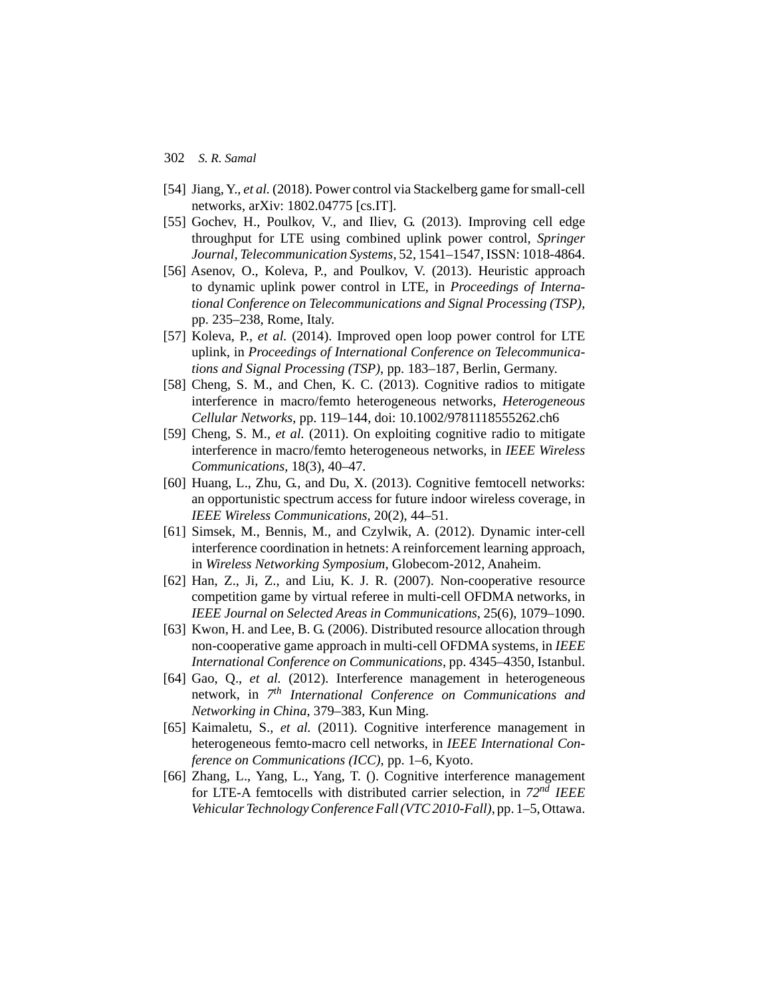- [54] Jiang, Y., *et al.* (2018). Power control via Stackelberg game for small-cell networks, arXiv: 1802.04775 [cs.IT].
- [55] Gochev, H., Poulkov, V., and Iliev, G. (2013). Improving cell edge throughput for LTE using combined uplink power control, *Springer Journal, Telecommunication Systems*, 52, 1541–1547, ISSN: 1018-4864.
- [56] Asenov, O., Koleva, P., and Poulkov, V. (2013). Heuristic approach to dynamic uplink power control in LTE, in *Proceedings of International Conference on Telecommunications and Signal Processing (TSP)*, pp. 235–238, Rome, Italy.
- [57] Koleva, P., *et al.* (2014). Improved open loop power control for LTE uplink, in *Proceedings of International Conference on Telecommunications and Signal Processing (TSP)*, pp. 183–187, Berlin, Germany.
- [58] Cheng, S. M., and Chen, K. C. (2013). Cognitive radios to mitigate interference in macro/femto heterogeneous networks, *Heterogeneous Cellular Networks*, pp. 119–144, doi: 10.1002/9781118555262.ch6
- [59] Cheng, S. M., *et al.* (2011). On exploiting cognitive radio to mitigate interference in macro/femto heterogeneous networks, in *IEEE Wireless Communications*, 18(3), 40–47.
- [60] Huang, L., Zhu, G., and Du, X. (2013). Cognitive femtocell networks: an opportunistic spectrum access for future indoor wireless coverage, in *IEEE Wireless Communications*, 20(2), 44–51.
- [61] Simsek, M., Bennis, M., and Czylwik, A. (2012). Dynamic inter-cell interference coordination in hetnets: A reinforcement learning approach, in *Wireless Networking Symposium*, Globecom-2012, Anaheim.
- [62] Han, Z., Ji, Z., and Liu, K. J. R. (2007). Non-cooperative resource competition game by virtual referee in multi-cell OFDMA networks, in *IEEE Journal on Selected Areas in Communications*, 25(6), 1079–1090.
- [63] Kwon, H. and Lee, B. G. (2006). Distributed resource allocation through non-cooperative game approach in multi-cell OFDMA systems, in *IEEE International Conference on Communications*, pp. 4345–4350, Istanbul.
- [64] Gao, Q., *et al.* (2012). Interference management in heterogeneous network, in *7th International Conference on Communications and Networking in China*, 379–383, Kun Ming.
- [65] Kaimaletu, S., *et al.* (2011). Cognitive interference management in heterogeneous femto-macro cell networks, in *IEEE International Conference on Communications (ICC)*, pp. 1–6, Kyoto.
- [66] Zhang, L., Yang, L., Yang, T. (). Cognitive interference management for LTE-A femtocells with distributed carrier selection, in *72nd IEEE Vehicular Technology Conference Fall (VTC 2010-Fall)*, pp. 1–5, Ottawa.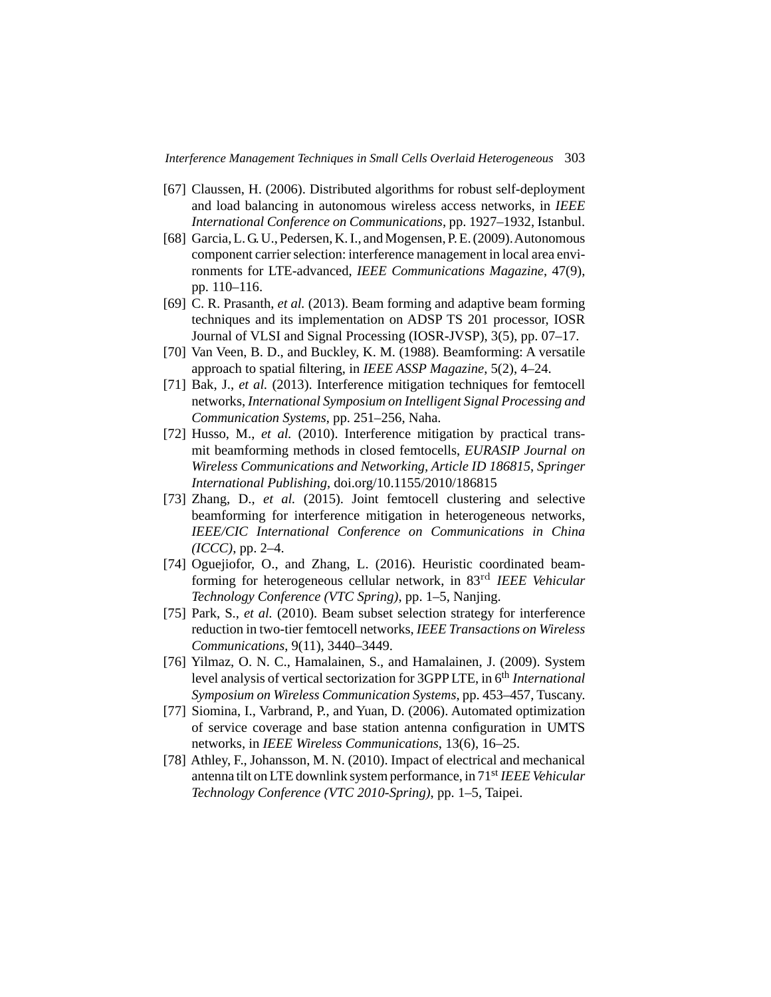- [67] Claussen, H. (2006). Distributed algorithms for robust self-deployment and load balancing in autonomous wireless access networks, in *IEEE International Conference on Communications*, pp. 1927–1932, Istanbul.
- [68] Garcia, L. G. U., Pedersen, K. I., and Mogensen, P. E. (2009). Autonomous component carrier selection: interference management in local area environments for LTE-advanced, *IEEE Communications Magazine*, 47(9), pp. 110–116.
- [69] C. R. Prasanth, *et al.* (2013). Beam forming and adaptive beam forming techniques and its implementation on ADSP TS 201 processor, IOSR Journal of VLSI and Signal Processing (IOSR-JVSP), 3(5), pp. 07–17.
- [70] Van Veen, B. D., and Buckley, K. M. (1988). Beamforming: A versatile approach to spatial filtering, in *IEEE ASSP Magazine*, 5(2), 4–24.
- [71] Bak, J., *et al.* (2013). Interference mitigation techniques for femtocell networks, *International Symposium on Intelligent Signal Processing and Communication Systems*, pp. 251–256, Naha.
- [72] Husso, M., *et al.* (2010). Interference mitigation by practical transmit beamforming methods in closed femtocells, *EURASIP Journal on Wireless Communications and Networking, Article ID 186815*, *Springer International Publishing*, doi.org/10.1155/2010/186815
- [73] Zhang, D., *et al.* (2015). Joint femtocell clustering and selective beamforming for interference mitigation in heterogeneous networks, *IEEE/CIC International Conference on Communications in China (ICCC)*, pp. 2–4.
- [74] Oguejiofor, O., and Zhang, L. (2016). Heuristic coordinated beamforming for heterogeneous cellular network, in 83rd *IEEE Vehicular Technology Conference (VTC Spring)*, pp. 1–5, Nanjing.
- [75] Park, S., *et al.* (2010). Beam subset selection strategy for interference reduction in two-tier femtocell networks, *IEEE Transactions on Wireless Communications*, 9(11), 3440–3449.
- [76] Yilmaz, O. N. C., Hamalainen, S., and Hamalainen, J. (2009). System level analysis of vertical sectorization for 3GPP LTE, in 6<sup>th</sup> *International Symposium on Wireless Communication Systems*, pp. 453–457, Tuscany.
- [77] Siomina, I., Varbrand, P., and Yuan, D. (2006). Automated optimization of service coverage and base station antenna configuration in UMTS networks, in *IEEE Wireless Communications*, 13(6), 16–25.
- [78] Athley, F., Johansson, M. N. (2010). Impact of electrical and mechanical antenna tilt on LTE downlink system performance, in 71st *IEEE Vehicular Technology Conference (VTC 2010-Spring)*, pp. 1–5, Taipei.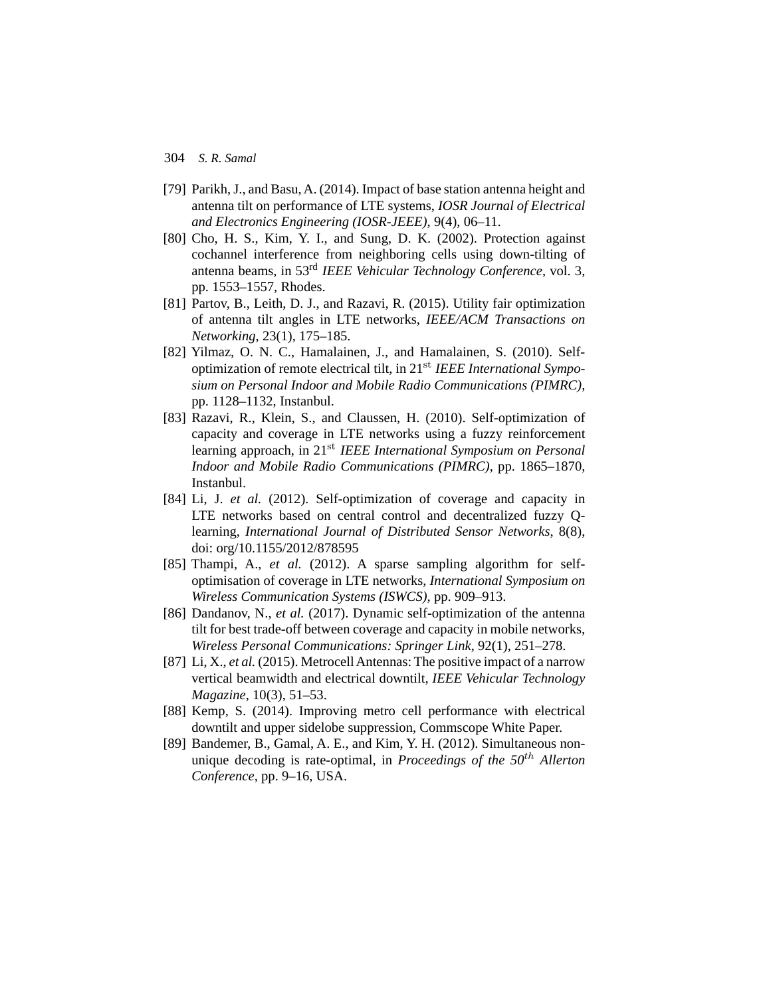- [79] Parikh, J., and Basu, A. (2014). Impact of base station antenna height and antenna tilt on performance of LTE systems, *IOSR Journal of Electrical and Electronics Engineering (IOSR-JEEE)*, 9(4), 06–11.
- [80] Cho, H. S., Kim, Y. I., and Sung, D. K. (2002). Protection against cochannel interference from neighboring cells using down-tilting of antenna beams, in 53rd *IEEE Vehicular Technology Conference*, vol. 3, pp. 1553–1557, Rhodes.
- [81] Partov, B., Leith, D. J., and Razavi, R. (2015). Utility fair optimization of antenna tilt angles in LTE networks, *IEEE/ACM Transactions on Networking*, 23(1), 175–185.
- [82] Yilmaz, O. N. C., Hamalainen, J., and Hamalainen, S. (2010). Selfoptimization of remote electrical tilt, in 21st *IEEE International Symposium on Personal Indoor and Mobile Radio Communications (PIMRC)*, pp. 1128–1132, Instanbul.
- [83] Razavi, R., Klein, S., and Claussen, H. (2010). Self-optimization of capacity and coverage in LTE networks using a fuzzy reinforcement learning approach, in 21st *IEEE International Symposium on Personal Indoor and Mobile Radio Communications (PIMRC)*, pp. 1865–1870, Instanbul.
- [84] Li, J. *et al.* (2012). Self-optimization of coverage and capacity in LTE networks based on central control and decentralized fuzzy Qlearning, *International Journal of Distributed Sensor Networks*, 8(8), doi: org/10.1155/2012/878595
- [85] Thampi, A., *et al.* (2012). A sparse sampling algorithm for selfoptimisation of coverage in LTE networks, *International Symposium on Wireless Communication Systems (ISWCS)*, pp. 909–913.
- [86] Dandanov, N., *et al.* (2017). Dynamic self-optimization of the antenna tilt for best trade-off between coverage and capacity in mobile networks, *Wireless Personal Communications: Springer Link*, 92(1), 251–278.
- [87] Li, X., *et al.* (2015). Metrocell Antennas: The positive impact of a narrow vertical beamwidth and electrical downtilt, *IEEE Vehicular Technology Magazine*, 10(3), 51–53.
- [88] Kemp, S. (2014). Improving metro cell performance with electrical downtilt and upper sidelobe suppression, Commscope White Paper.
- [89] Bandemer, B., Gamal, A. E., and Kim, Y. H. (2012). Simultaneous nonunique decoding is rate-optimal, in *Proceedings of the 50*th *Allerton Conference*, pp. 9–16, USA.